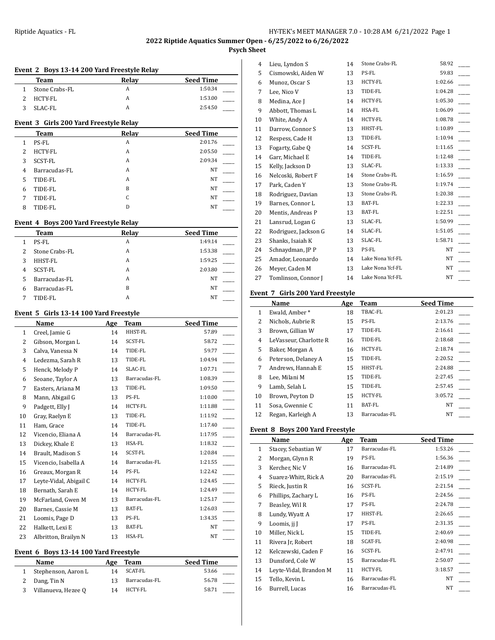# **Psych Sheet**

#### **Event 2 Boys 13-14 200 Yard Freestyle Relay**

| Team           | Relav | <b>Seed Time</b> |
|----------------|-------|------------------|
| Stone Crabs-FL | A     | 1:50.34          |
| HCTY-FL        |       | 1:53.00          |
| SLAC-FL        |       | 2:54.50          |

#### **Event 3 Girls 200 Yard Freestyle Relay**

|   | <b>Team</b>    | Relay | <b>Seed Time</b> |
|---|----------------|-------|------------------|
| 1 | PS-FL          | A     | 2:01.76          |
| 2 | <b>HCTY-FL</b> | А     | 2:05.50          |
| 3 | SCST-FL        | А     | 2:09.34          |
| 4 | Barracudas-FL  | A     | NT               |
| 5 | TIDE-FL        | A     | NT               |
| 6 | TIDE-FL        | B     | NT               |
| 7 | TIDE-FL        | C     | NT               |
| 8 | TIDE-FL        | D     | NT               |

# **Event 4 Boys 200 Yard Freestyle Relay**

|   | <b>Team</b>    | Relay | <b>Seed Time</b> |
|---|----------------|-------|------------------|
|   | PS-FL          | А     | 1:49.14          |
| 2 | Stone Crabs-FL | А     | 1:53.38          |
| 3 | HHST-FL        | A     | 1:59.25          |
| 4 | SCST-FL        | А     | 2:03.80          |
| 5 | Barracudas-FL  | А     | NT               |
| 6 | Barracudas-FL  | B     | NT               |
|   | TIDE-FL        | А     | NT               |

#### **Event 5 Girls 13-14 100 Yard Freestyle**

|    | Name                   | Age | <b>Team</b>    | <b>Seed Time</b> |
|----|------------------------|-----|----------------|------------------|
| 1  | Creel, Jamie G         | 14  | HHST-FL        | 57.89            |
| 2  | Gibson, Morgan L       | 14  | SCST-FL        | 58.72            |
| 3  | Calva, Vanessa N       | 14  | TIDE-FL        | 59.77            |
| 4  | Ledezma, Sarah R       | 13  | TIDE-FL        | 1:04.94          |
| 5  | Henck, Melody P        | 14  | SLAC-FL        | 1:07.71          |
| 6  | Seoane, Taylor A       | 13  | Barracudas-FL  | 1:08.39          |
| 7  | Easters, Ariana M      | 13  | TIDE-FL        | 1:09.50          |
| 8  | Mann, Abigail G        | 13  | PS-FL          | 1:10.00          |
| 9  | Padgett, Elly J        | 14  | HCTY-FL        | 1:11.88          |
| 10 | Gray, Raelyn E         | 13  | TIDE-FL        | 1:11.92          |
| 11 | Ham, Grace             | 14  | TIDE-FL        | 1:17.40          |
| 12 | Vicencio, Eliana A     | 14  | Barracudas-FL  | 1:17.95          |
| 13 | Dickey, Khale E        | 13  | HSA-FL         | 1:18.32          |
| 14 | Brault, Madison S      | 14  | <b>SCST-FL</b> | 1:20.84          |
| 15 | Vicencio, Isabella A   | 14  | Barracudas-FL  | 1:21.55          |
| 16 | Greaux, Morgan R       | 14  | PS-FL          | 1:22.42          |
| 17 | Leyte-Vidal, Abigail C | 14  | HCTY-FL        | 1:24.45          |
| 18 | Bernath, Sarah E       | 14  | HCTY-FL        | 1:24.49          |
| 19 | McFarland, Gwen M      | 13  | Barracudas-FL  | 1:25.17          |
| 20 | Barnes, Cassie M       | 13  | BAT-FL         | 1:26.03          |
| 21 | Loomis, Page D         | 13  | PS-FL          | 1:34.35          |
| 22 | Halkett, Lexi E        | 13  | BAT-FL         | NT               |
| 23 | Albritton, Brailyn N   | 13  | <b>HSA-FL</b>  | NT               |

#### **Event 6 Boys 13-14 100 Yard Freestyle**

| Name                | Age | Team          | <b>Seed Time</b> |
|---------------------|-----|---------------|------------------|
| Stephenson, Aaron L | 14  | SCAT-FL       | 53.66            |
| Dang, Tin N         | 13  | Barracudas-FL | 56.78            |
| Villanueva, Hezee Q | 14  | HCTY-FL       | 58.71            |

| 4  | Lieu, Lyndon S       | 14 | Stone Crabs-FL   | 58.92     |  |
|----|----------------------|----|------------------|-----------|--|
| 5  | Cismowski, Aiden W   | 13 | PS-FL            | 59.83     |  |
| 6  | Munoz, Oscar S       | 13 | HCTY-FL          | 1:02.66   |  |
| 7  | Lee, Nico V          | 13 | TIDE-FL          | 1:04.28   |  |
| 8  | Medina, Ace J        | 14 | HCTY-FL          | 1:05.30   |  |
| 9  | Abbott, Thomas L     | 14 | HSA-FL           | 1:06.09   |  |
| 10 | White, Andy A        | 14 | HCTY-FL          | 1:08.78   |  |
| 11 | Darrow, Connor S     | 13 | HHST-FL          | 1:10.89   |  |
| 12 | Respess, Cade H      | 13 | TIDE-FL          | 1:10.94   |  |
| 13 | Fogarty, Gabe O      | 14 | SCST-FL          | 1:11.65   |  |
| 14 | Garr, Michael E      | 14 | TIDE-FL          | 1:12.48   |  |
| 15 | Kelly, Jackson D     | 13 | SLAC-FL          | 1:13.33   |  |
| 16 | Nelcoski, Robert F   | 14 | Stone Crabs-FL   | 1:16.59   |  |
| 17 | Park, Caden Y        | 13 | Stone Crabs-FL   | 1:19.74   |  |
| 18 | Rodriguez, Davian    | 13 | Stone Crabs-FL   | 1:20.38   |  |
| 19 | Barnes, Connor L     | 13 | BAT-FL           | 1:22.33   |  |
| 20 | Mentis, Andreas P    | 13 | BAT-FL           | 1:22.51   |  |
| 21 | Lansrud, Logan G     | 13 | SLAC-FL          | 1:50.99   |  |
| 22 | Rodriguez, Jackson G | 14 | SLAC-FL          | 1:51.05   |  |
| 23 | Shanks, Isaiah K     | 13 | SLAC-FL          | 1:58.71   |  |
| 24 | Schnaydman, JP P     | 13 | PS-FL            | <b>NT</b> |  |
| 25 | Amador, Leonardo     | 14 | Lake Nona Ycf-FL | NT.       |  |
| 26 | Meyer, Caden M       | 13 | Lake Nona Ycf-FL | NT        |  |
| 27 | Tomlinson, Connor J  | 14 | Lake Nona Ycf-FL | <b>NT</b> |  |
|    |                      |    |                  |           |  |

# **Event 7 Girls 200 Yard Freestyle**

|    | Name                   | Age | <b>Team</b>    | <b>Seed Time</b> |
|----|------------------------|-----|----------------|------------------|
| 1  | Ewald, Amber*          | 18  | TBAC-FL        | 2:01.23          |
| 2  | Nichols, Aubrie R      | 15  | PS-FL          | 2:13.76          |
| 3  | Brown, Gillian W       | 17  | TIDE-FL        | 2:16.61          |
| 4  | LeVasseur, Charlotte R | 16  | TIDE-FL        | 2:18.68          |
| 5  | Baker, Morgan A        | 16  | <b>HCTY-FL</b> | 2:18.74          |
| 6  | Peterson, Delaney A    | 15  | TIDE-FL        | 2:20.52          |
| 7  | Andrews, Hannah E      | 15  | HHST-FL        | 2:24.88          |
| 8  | Lee, Milani M          | 15  | TIDE-FL        | 2:27.45          |
| 9  | Lamb, Selah L          | 15  | TIDE-FL        | 2:57.45          |
| 10 | Brown, Peyton D        | 15  | <b>HCTY-FL</b> | 3:05.72          |
| 11 | Sosa, Gwennie C        | 11  | BAT-FL         | <b>NT</b>        |
| 12 | Regan, Karleigh A      | 13  | Barracudas-FL  | NT               |

## **Event 8 Boys 200 Yard Freestyle**

|              | Name                   | Age | Team          | <b>Seed Time</b> |
|--------------|------------------------|-----|---------------|------------------|
| $\mathbf{1}$ | Stacey, Sebastian W    | 17  | Barracudas-FL | 1:53.26          |
| 2            | Morgan, Glynn R        | 19  | PS-FL         | 1:56.36          |
| 3            | Kercher, Nic V         | 16  | Barracudas-FL | 2:14.89          |
| 4            | Suarez-Whitt, Rick A   | 20  | Barracudas-FL | 2:15.19          |
| 5            | Rieck, Justin R        | 16  | SCST-FL       | 2:21.54          |
| 6            | Phillips, Zachary L    | 16  | PS-FL         | 2:24.56          |
| 7            | Beasley, Wil R         | 17  | PS-FL         | 2:24.78          |
| 8            | Lundy, Wyatt A         | 17  | HHST-FL       | 2:26.65          |
| 9            | Loomis, jj J           | 17  | PS-FL         | 2:31.35          |
| 10           | Miller, Nick L         | 15  | TIDE-FL       | 2:40.69          |
| 11           | Rivera Jr, Robert      | 18  | SCAT-FL       | 2:40.98          |
| 12           | Kelczewski, Caden F    | 16  | SCST-FL       | 2:47.91          |
| 13           | Dunsford, Cole W       | 15  | Barracudas-FL | 2:50.07          |
| 14           | Leyte-Vidal, Brandon M | 11  | HCTY-FL       | 3:18.57          |
| 15           | Tello, Kevin L         | 16  | Barracudas-FL | NT.              |
| 16           | Burrell, Lucas         | 16  | Barracudas-FL | NT               |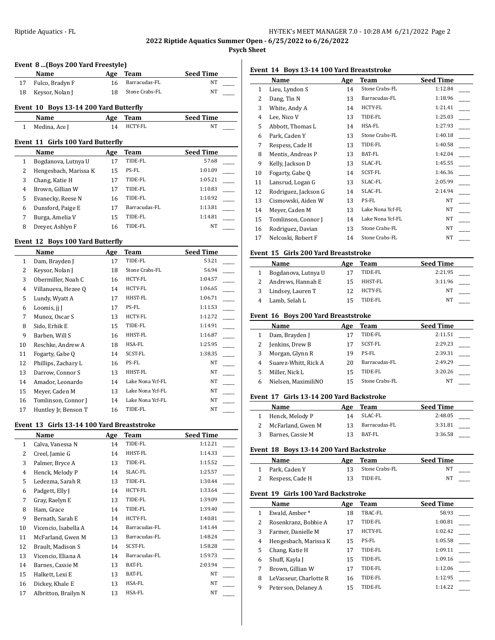**2022 Riptide Aquatics Summer Open - 6/25/2022 to 6/26/2022**

# **Psych Sheet**

# **Event 8 ...(Boys 200 Yard Freestyle)**

|    | Name                                   | Age | Team           | <b>Seed Time</b> |
|----|----------------------------------------|-----|----------------|------------------|
| 17 | Fulco, Bradyn F                        | 16  | Barracudas-FL  | NT               |
| 18 | Keysor, Nolan J                        | 18  | Stone Crabs-FL | NT               |
|    | Event 10 Boys 13-14 200 Yard Butterfly |     |                |                  |
|    | Name                                   | Age | Team           | <b>Seed Time</b> |
|    | Medina, Ace I                          | 14  | <b>HCTY-FL</b> | NT               |
|    |                                        |     |                |                  |

# **Event 11 Girls 100 Yard Butterfly**

|   | Name                  | Age | Team          | <b>Seed Time</b> |
|---|-----------------------|-----|---------------|------------------|
|   | Bogdanova, Lutnya U   | 17  | TIDE-FL       | 57.68            |
| 2 | Hengesbach, Marissa K | 15  | PS-FL         | 1:01.09          |
| 3 | Chang, Katie H        | 17  | TIDE-FL       | 1:05.21          |
| 4 | Brown, Gillian W      | 17  | TIDE-FL       | 1:10.83          |
| 5 | Evanecky, Reese N     | 16  | TIDE-FL       | 1:10.92          |
| 6 | Dunsford, Paige E     | 17  | Barracudas-FL | 1:13.81          |
|   | Burga, Amelia V       | 15  | TIDE-FL       | 1:14.81          |
| 8 | Drever, Ashlyn F      | 16  | TIDE-FL       | NT               |

# **Event 12 Boys 100 Yard Butterfly**

|                | Name                 | Age | Team             | <b>Seed Time</b> |
|----------------|----------------------|-----|------------------|------------------|
| $\mathbf{1}$   | Dam, Brayden J       | 17  | TIDE-FL          | 53.21            |
| 2              | Keysor, Nolan J      | 18  | Stone Crabs-FL   | 56.94            |
| 3              | Obermiller, Noah C   | 16  | HCTY-FL          | 1:04.57          |
| $\overline{4}$ | Villanueva, Hezee Q  | 14  | HCTY-FL          | 1:06.65          |
| 5              | Lundy, Wyatt A       | 17  | HHST-FL          | 1:06.71          |
| 6              | Loomis, ji J         | 17  | PS-FL            | 1:11.53          |
| 7              | Munoz, Oscar S       | 13  | HCTY-FL          | 1:12.72          |
| 8              | Sido, Erhik E        | 15  | TIDE-FL          | 1:14.91          |
| 9              | Barben, Will S       | 16  | HHST-FL          | 1:16.87          |
| 10             | Reschke, Andrew A    | 18  | HSA-FL           | 1:25.95          |
| 11             | Fogarty, Gabe Q      | 14  | SCST-FL          | 1:38.35          |
| 12             | Phillips, Zachary L  | 16  | PS-FL            | NT               |
| 13             | Darrow, Connor S     | 13  | HHST-FL          | NT               |
| 14             | Amador, Leonardo     | 14  | Lake Nona Ycf-FL | NT               |
| 15             | Meyer, Caden M       | 13  | Lake Nona Ycf-FL | NT               |
| 16             | Tomlinson, Connor J  | 14  | Lake Nona Ycf-FL | NT               |
| 17             | Huntley Jr, Benson T | 16  | TIDE-FL          | NT               |

#### **Event 13 Girls 13-14 100 Yard Breaststroke**

|                | Name                 | Age | Team          | <b>Seed Time</b> |
|----------------|----------------------|-----|---------------|------------------|
| 1              | Calva, Vanessa N     | 14  | TIDE-FL       | 1:12.21          |
| 2              | Creel, Jamie G       | 14  | HHST-FL       | 1:14.33          |
| 3              | Palmer, Bryce A      | 13  | TIDE-FL       | 1:15.52          |
| $\overline{4}$ | Henck, Melody P      | 14  | SLAC-FL       | 1:25.57          |
| 5              | Ledezma, Sarah R     | 13  | TIDE-FL       | 1:30.44          |
| 6              | Padgett, Elly J      | 14  | HCTY-FL       | 1:33.64          |
| 7              | Gray, Raelyn E       | 13  | TIDE-FL       | 1:39.09          |
| 8              | Ham, Grace           | 14  | TIDE-FL       | 1:39.40          |
| 9              | Bernath, Sarah E     | 14  | HCTY-FL       | 1:40.81          |
| 10             | Vicencio, Isabella A | 14  | Barracudas-FL | 1:41.44          |
| 11             | McFarland, Gwen M    | 13  | Barracudas-FL | 1:48.24          |
| 12             | Brault, Madison S    | 14  | SCST-FL       | 1:58.28          |
| 13             | Vicencio, Eliana A   | 14  | Barracudas-FL | 1:59.73          |
| 14             | Barnes, Cassie M     | 13  | BAT-FL        | 2:03.94          |
| 15             | Halkett, Lexi E      | 13  | BAT-FL        | NT               |
| 16             | Dickey, Khale E      | 13  | HSA-FL        | NT               |
| 17             | Albritton, Brailyn N | 13  | HSA-FL        | NT               |

# **Event 14 Boys 13-14 100 Yard Breaststroke**

|    | Name                 | Age | Team             | <b>Seed Time</b> |
|----|----------------------|-----|------------------|------------------|
| 1  | Lieu, Lyndon S       | 14  | Stone Crabs-FL   | 1:12.84          |
| 2  | Dang, Tin N          | 13  | Barracudas-FL    | 1:18.96          |
| 3  | White, Andy A        | 14  | HCTY-FL          | 1:21.41          |
| 4  | Lee, Nico V          | 13  | TIDE-FL          | 1:25.03          |
| 5  | Abbott, Thomas L     | 14  | HSA-FL           | 1:27.93          |
| 6  | Park, Caden Y        | 13  | Stone Crabs-FL   | 1:40.18          |
| 7  | Respess, Cade H      | 13  | TIDE-FL          | 1:40.58          |
| 8  | Mentis, Andreas P    | 13  | BAT-FL           | 1:42.04          |
| 9  | Kelly, Jackson D     | 13  | SLAC-FL          | 1:45.55          |
| 10 | Fogarty, Gabe Q      | 14  | SCST-FL          | 1:46.36          |
| 11 | Lansrud, Logan G     | 13  | SLAC-FL          | 2:05.99          |
| 12 | Rodriguez, Jackson G | 14  | SLAC-FL          | 2:14.94          |
| 13 | Cismowski, Aiden W   | 13  | PS-FL            | NT               |
| 14 | Meyer, Caden M       | 13  | Lake Nona Ycf-FL | NT.              |
| 15 | Tomlinson, Connor J  | 14  | Lake Nona Ycf-FL | NT               |
| 16 | Rodriguez, Davian    | 13  | Stone Crabs-FL   | NT               |
| 17 | Nelcoski, Robert F   | 14  | Stone Crabs-FL   | NT               |

## **Event 15 Girls 200 Yard Breaststroke**

|   | Name                | Age | Team    | <b>Seed Time</b> |
|---|---------------------|-----|---------|------------------|
|   | Bogdanova, Lutnya U |     | TIDE-FL | 2:21.95          |
|   | Andrews, Hannah E   | 15  | HHST-FL | 3:11.96          |
| 3 | Lindsey, Lauren T   | 12  | HCTY-FL | NΤ               |
|   | Lamb, Selah L       |     | TIDE-FL | NT               |

# **Event 16 Boys 200 Yard Breaststroke**

|   | <b>Name</b>          | Age | Team           | <b>Seed Time</b> |
|---|----------------------|-----|----------------|------------------|
|   | Dam, Brayden J       |     | TIDE-FL        | 2:11.51          |
|   | Jenkins, Drew B      | 17  | SCST-FL        | 2:29.23          |
|   | Morgan, Glynn R      | 19  | PS-FL          | 2:39.31          |
| 4 | Suarez-Whitt, Rick A | 20  | Barracudas-FL  | 2:49.29          |
|   | Miller. Nick L       | 15  | TIDE-FL        | 3:20.26          |
| h | Nielsen, MaximiliNO  | 15  | Stone Crabs-FL | NΤ               |

### **Event 17 Girls 13-14 200 Yard Backstroke**

| <b>Name</b>       | Age | Team          | <b>Seed Time</b> |
|-------------------|-----|---------------|------------------|
| Henck, Melody P   | 14  | SLAC-FL       | 2:48.05          |
| McFarland, Gwen M | 13. | Barracudas-FL | 3:31.81          |
| Barnes, Cassie M  | 12  | BAT-FL        | 3:36.58          |

#### **Event 18 Boys 13-14 200 Yard Backstroke**

| Name              | Age | Team              | <b>Seed Time</b> |  |
|-------------------|-----|-------------------|------------------|--|
| 1 Park. Caden Y   |     | 13 Stone Crabs-FL | NΤ               |  |
| 2 Respess, Cade H | 13  | TIDE-FL           | NT               |  |

### **Event 19 Girls 100 Yard Backstroke**

|   | <b>Name</b>            | Age | Team    | <b>Seed Time</b> |
|---|------------------------|-----|---------|------------------|
| 1 | Ewald, Amber*          | 18  | TBAC-FL | 58.93            |
| 2 | Rosenkranz, Bobbie A   | 17  | TIDE-FL | 1:00.81          |
| 3 | Farmer, Danielle M     | 17  | HCTY-FL | 1:02.42          |
| 4 | Hengesbach, Marissa K  | 15  | PS-FL   | 1:05.58          |
| 5 | Chang, Katie H         | 17  | TIDE-FL | 1:09.11          |
| 6 | Shuff, Kayla J         | 15  | TIDE-FL | 1:09.16          |
| 7 | Brown, Gillian W       | 17  | TIDE-FL | 1:12.06          |
| 8 | LeVasseur, Charlotte R | 16  | TIDE-FL | 1:12.95          |
| 9 | Peterson, Delaney A    | 15  | TIDE-FL | 1:14.22          |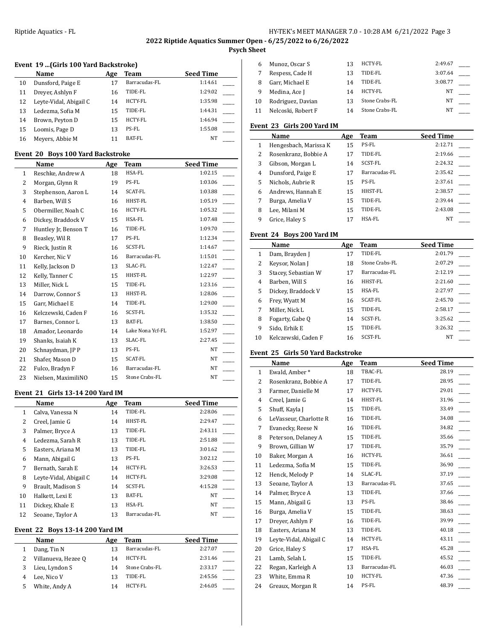# **2022 Riptide Aquatics Summer Open - 6/25/2022 to 6/26/2022**

# **Psych Sheet**

# **Event 19 ...(Girls 100 Yard Backstroke)**

|    | Name                   | Age | Team           | <b>Seed Time</b> |
|----|------------------------|-----|----------------|------------------|
| 10 | Dunsford, Paige E      | 17  | Barracudas-FL  | 1:14.61          |
| 11 | Drever, Ashlyn F       | 16  | TIDE-FL        | 1:29.02          |
| 12 | Leyte-Vidal, Abigail C | 14  | <b>HCTY-FL</b> | 1:35.98          |
| 13 | Ledezma, Sofia M       | 15  | TIDE-FL        | 1:44.31          |
| 14 | Brown, Peyton D        | 15  | <b>HCTY-FL</b> | 1:46.94          |
| 15 | Loomis, Page D         | 13  | PS-FL          | 1:55.08          |
| 16 | Meyers, Abbie M        |     | BAT-FL         | NT               |

### **Event 20 Boys 100 Yard Backstroke**

|                | Name                 | Age | Team             | <b>Seed Time</b> |
|----------------|----------------------|-----|------------------|------------------|
| $\mathbf{1}$   | Reschke, Andrew A    | 18  | HSA-FL           | 1:02.15          |
| $\overline{2}$ | Morgan, Glynn R      | 19  | PS-FL            | 1:03.06          |
| 3              | Stephenson, Aaron L  | 14  | SCAT-FL          | 1:03.88          |
| 4              | Barben, Will S       | 16  | HHST-FL          | 1:05.19          |
| 5              | Obermiller, Noah C   | 16  | HCTY-FL          | 1:05.32          |
| 6              | Dickey, Braddock V   | 15  | HSA-FL           | 1:07.48          |
| 7              | Huntley Jr, Benson T | 16  | TIDE-FL          | 1:09.70          |
| 8              | Beasley, Wil R       | 17  | PS-FL            | 1:12.34          |
| 9              | Rieck, Justin R      | 16  | SCST-FL          | 1:14.67          |
| 10             | Kercher, Nic V       | 16  | Barracudas-FL    | 1:15.01          |
| 11             | Kelly, Jackson D     | 13  | SLAC-FL          | 1:22.47          |
| 12             | Kelly, Tanner C      | 15  | HHST-FL          | 1:22.97          |
| 13             | Miller, Nick L       | 15  | TIDE-FL          | 1:23.16          |
| 14             | Darrow, Connor S     | 13  | HHST-FL          | 1:28.06          |
| 15             | Garr, Michael E      | 14  | TIDE-FL          | 1:29.00          |
| 16             | Kelczewski, Caden F  | 16  | SCST-FL          | 1:35.32          |
| 17             | Barnes, Connor L     | 13  | BAT-FL           | 1:38.50          |
| 18             | Amador, Leonardo     | 14  | Lake Nona Ycf-FL | 1:52.97          |
| 19             | Shanks, Isaiah K     | 13  | SLAC-FL          | 2:27.45          |
| 20             | Schnaydman, JP P     | 13  | PS-FL            | <b>NT</b>        |
| 21             | Shafer, Mason D      | 15  | SCAT-FL          | NT               |
| 22             | Fulco, Bradyn F      | 16  | Barracudas-FL    | <b>NT</b>        |
| 23             | Nielsen, MaximiliNO  | 15  | Stone Crabs-FL   | NT               |

#### **Event 21 Girls 13-14 200 Yard IM**

| Name                   | Age | Team           | <b>Seed Time</b> |
|------------------------|-----|----------------|------------------|
| Calva, Vanessa N       | 14  | TIDE-FL        | 2:28.06          |
| Creel, Jamie G         | 14  | HHST-FL        | 2:29.47          |
| Palmer, Bryce A        | 13  | TIDE-FL        | 2:43.11          |
| Ledezma, Sarah R       | 13  | TIDE-FL        | 2:51.88          |
| Easters, Ariana M      | 13  | TIDE-FL        | 3:01.62          |
| Mann, Abigail G        | 13  | PS-FL          | 3:02.12          |
| Bernath, Sarah E       | 14  | <b>HCTY-FL</b> | 3:26.53          |
| Leyte-Vidal, Abigail C | 14  | <b>HCTY-FL</b> | 3:29.08          |
| Brault, Madison S      | 14  | SCST-FL        | 4:15.28          |
| Halkett, Lexi E        | 13  | BAT-FL         | NT               |
| Dickey, Khale E        | 13  | HSA-FL         | NT               |
| Seoane, Taylor A       | 13  | Barracudas-FL  | NT               |
|                        |     |                |                  |

## **Event 22 Boys 13-14 200 Yard IM**

| Name                | Age | Team           | <b>Seed Time</b> |
|---------------------|-----|----------------|------------------|
| Dang, Tin N         | 13  | Barracudas-FL  | 2:27.07          |
| Villanueva, Hezee Q | 14  | HCTY-FL        | 2:31.46          |
| Lieu, Lyndon S      | 14  | Stone Crabs-FL | 2:33.17          |
| Lee. Nico V         | 13  | TIDE-FL        | 2:45.56          |
| White, Andy A       | 14  | HCTY-FL        | 2:46.05          |

|    | Munoz, Oscar S     | 13 | HCTY-FL        | 2:49.67 |  |
|----|--------------------|----|----------------|---------|--|
|    | Respess, Cade H    | 13 | TIDE-FL        | 3:07.64 |  |
|    | Garr, Michael E    | 14 | TIDE-FL        | 3:08.77 |  |
| 9  | Medina, Ace J      | 14 | HCTY-FL        | NT      |  |
| 10 | Rodriguez, Davian  | 13 | Stone Crabs-FL | NΤ      |  |
|    | Nelcoski, Robert F | 14 | Stone Crabs-FL | NΤ      |  |

# **Event 23 Girls 200 Yard IM**

|   | Name                  | Age | Team           | <b>Seed Time</b> |
|---|-----------------------|-----|----------------|------------------|
| 1 | Hengesbach, Marissa K | 15  | PS-FL          | 2:12.71          |
| 2 | Rosenkranz, Bobbie A  | 17  | TIDE-FL        | 2:19.66          |
| 3 | Gibson, Morgan L      | 14  | <b>SCST-FL</b> | 2:24.32          |
| 4 | Dunsford, Paige E     | 17  | Barracudas-FL  | 2:35.42          |
| 5 | Nichols, Aubrie R     | 15  | PS-FL          | 2:37.61          |
| 6 | Andrews, Hannah E     | 15  | <b>HHST-FL</b> | 2:38.57          |
| 7 | Burga, Amelia V       | 15  | TIDE-FL        | 2:39.44          |
| 8 | Lee, Milani M         | 15  | TIDE-FL        | 2:43.08          |
| 9 | Grice, Haley S        | 17  | HSA-FL         | NT               |

#### **Event 24 Boys 200 Yard IM**

|    | Name                | Age | Team           | <b>Seed Time</b> |
|----|---------------------|-----|----------------|------------------|
| 1  | Dam, Brayden J      | 17  | TIDE-FL        | 2:01.79          |
| 2  | Keysor, Nolan J     | 18  | Stone Crabs-FL | 2:07.29          |
| 3  | Stacey, Sebastian W | 17  | Barracudas-FL  | 2:12.19          |
| 4  | Barben, Will S      | 16  | HHST-FL        | 2:21.60          |
| 5  | Dickey, Braddock V  | 15  | HSA-FL         | 2:27.97          |
| 6  | Frey, Wyatt M       | 16  | <b>SCAT-FL</b> | 2:45.70          |
| 7  | Miller, Nick L      | 15  | TIDE-FL        | 2:58.17          |
| 8  | Fogarty, Gabe Q     | 14  | <b>SCST-FL</b> | 3:25.62          |
| 9  | Sido, Erhik E       | 15  | TIDE-FL        | 3:26.32          |
| 10 | Kelczewski, Caden F | 16  | SCST-FL        | NT               |

## **Event 25 Girls 50 Yard Backstroke**

| Name |                        | Age | Team          | <b>Seed Time</b> |
|------|------------------------|-----|---------------|------------------|
| 1    | Ewald, Amber*          | 18  | TBAC-FL       | 28.19            |
| 2    | Rosenkranz, Bobbie A   | 17  | TIDE-FL       | 28.95            |
| 3    | Farmer, Danielle M     | 17  | HCTY-FL       | 29.01            |
| 4    | Creel, Jamie G         | 14  | HHST-FL       | 31.96            |
| 5    | Shuff, Kayla J         | 15  | TIDE-FL       | 33.49            |
| 6    | LeVasseur, Charlotte R | 16  | TIDE-FL       | 34.08            |
| 7    | Evanecky, Reese N      | 16  | TIDE-FL       | 34.82            |
| 8    | Peterson, Delaney A    | 15  | TIDE-FL       | 35.66            |
| 9    | Brown, Gillian W       | 17  | TIDE-FL       | 35.79            |
| 10   | Baker, Morgan A        | 16  | HCTY-FL       | 36.61            |
| 11   | Ledezma, Sofia M       | 15  | TIDE-FL       | 36.90            |
| 12   | Henck, Melody P        | 14  | SLAC-FL       | 37.19            |
| 13   | Seoane, Taylor A       | 13  | Barracudas-FL | 37.65            |
| 14   | Palmer, Bryce A        | 13  | TIDE-FL       | 37.66            |
| 15   | Mann, Abigail G        | 13  | PS-FL         | 38.46            |
| 16   | Burga, Amelia V        | 15  | TIDE-FL       | 38.63            |
| 17   | Dreyer, Ashlyn F       | 16  | TIDE-FL       | 39.99            |
| 18   | Easters, Ariana M      | 13  | TIDE-FL       | 40.18            |
| 19   | Leyte-Vidal, Abigail C | 14  | HCTY-FL       | 43.11            |
| 20   | Grice, Haley S         | 17  | HSA-FL        | 45.28            |
| 21   | Lamb, Selah L          | 15  | TIDE-FL       | 45.52            |
| 22   | Regan, Karleigh A      | 13  | Barracudas-FL | 46.03            |
| 23   | White, Emma R          | 10  | HCTY-FL       | 47.36            |
| 24   | Greaux, Morgan R       | 14  | PS-FL         | 48.39            |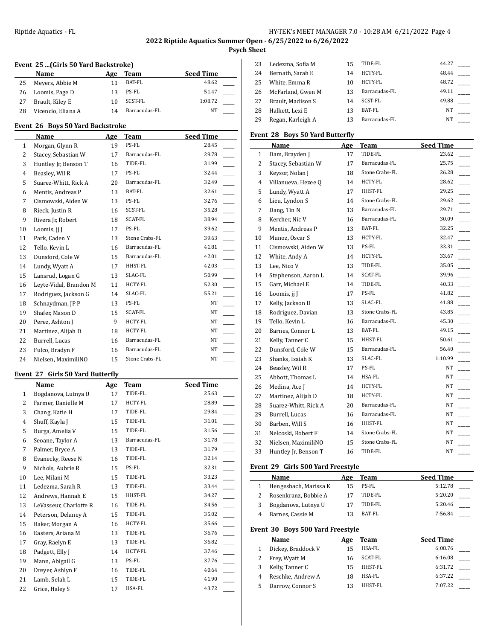# **2022 Riptide Aquatics Summer Open - 6/25/2022 to 6/26/2022**

# **Psych Sheet**

# **Event 25 ...(Girls 50 Yard Backstroke)**

|    | Name               | Age | Team          | <b>Seed Time</b> |  |
|----|--------------------|-----|---------------|------------------|--|
| 25 | Meyers, Abbie M    |     | BAT-FL        | 48.62            |  |
| 26 | Loomis, Page D     | 13  | PS-FL         | 51.47            |  |
| 27 | Brault, Kiley E    | 10  | SCST-FL       | 1:08.72          |  |
| 28 | Vicencio, Eliana A | 14  | Barracudas-FL | NT               |  |

### **Event 26 Boys 50 Yard Backstroke**

|              | Name                   | Age | <b>Team</b>    | <b>Seed Time</b> |
|--------------|------------------------|-----|----------------|------------------|
| $\mathbf{1}$ | Morgan, Glynn R        | 19  | PS-FL          | 28.45            |
| 2            | Stacey, Sebastian W    | 17  | Barracudas-FL  | 29.78            |
| 3            | Huntley Jr, Benson T   | 16  | TIDE-FL        | 31.99            |
| 4            | Beasley, Wil R         | 17  | PS-FL          | 32.44            |
| 5            | Suarez-Whitt, Rick A   | 20  | Barracudas-FL  | 32.49            |
| 6            | Mentis, Andreas P      | 13  | BAT-FL         | 32.61            |
| 7            | Cismowski, Aiden W     | 13  | PS-FL          | 32.76            |
| 8            | Rieck, Justin R        | 16  | SCST-FL        | 35.28            |
| 9            | Rivera Jr, Robert      | 18  | <b>SCAT-FL</b> | 38.94            |
| 10           | Loomis, ji J           | 17  | PS-FL          | 39.62            |
| 11           | Park, Caden Y          | 13  | Stone Crabs-FL | 39.63            |
| 12           | Tello, Kevin L         | 16  | Barracudas-FL  | 41.81            |
| 13           | Dunsford, Cole W       | 15  | Barracudas-FL  | 42.01            |
| 14           | Lundy, Wyatt A         | 17  | HHST-FL        | 42.03            |
| 15           | Lansrud, Logan G       | 13  | SLAC-FL        | 50.99            |
| 16           | Leyte-Vidal, Brandon M | 11  | HCTY-FL        | 52.30            |
| 17           | Rodriguez, Jackson G   | 14  | SLAC-FL        | 55.21            |
| 18           | Schnaydman, JP P       | 13  | PS-FL          | NT               |
| 19           | Shafer, Mason D        | 15  | <b>SCAT-FL</b> | NT               |
| 20           | Perez, Ashton I        | 9   | HCTY-FL        | NT               |
| 21           | Martinez, Alijah D     | 18  | <b>HCTY-FL</b> | NT               |
| 22           | Burrell, Lucas         | 16  | Barracudas-FL  | NT               |
| 23           | Fulco, Bradyn F        | 16  | Barracudas-FL  | NT               |
| 24           | Nielsen, MaximiliNO    | 15  | Stone Crabs-FL | NT               |

### **Event 27 Girls 50 Yard Butterfly**

 $\overline{a}$ 

|    | Name                   | Age | Team          | <b>Seed Time</b> |
|----|------------------------|-----|---------------|------------------|
| 1  | Bogdanova, Lutnya U    | 17  | TIDE-FL       | 25.63            |
| 2  | Farmer, Danielle M     | 17  | HCTY-FL       | 28.89            |
| 3  | Chang, Katie H         | 17  | TIDE-FL       | 29.84            |
| 4  | Shuff, Kayla J         | 15  | TIDE-FL       | 31.01            |
| 5  | Burga, Amelia V        | 15  | TIDE-FL       | 31.56            |
| 6  | Seoane, Taylor A       | 13  | Barracudas-FL | 31.78            |
| 7  | Palmer, Bryce A        | 13  | TIDE-FL       | 31.79            |
| 8  | Evanecky, Reese N      | 16  | TIDE-FL       | 32.14            |
| 9  | Nichols, Aubrie R      | 15  | PS-FL         | 32.31            |
| 10 | Lee, Milani M          | 15  | TIDE-FL       | 33.23            |
| 11 | Ledezma, Sarah R       | 13  | TIDE-FL       | 33.44            |
| 12 | Andrews, Hannah E      | 15  | HHST-FL       | 34.27            |
| 13 | LeVasseur, Charlotte R | 16  | TIDE-FL       | 34.56            |
| 14 | Peterson, Delaney A    | 15  | TIDE-FL       | 35.02            |
| 15 | Baker, Morgan A        | 16  | HCTY-FL       | 35.66            |
| 16 | Easters, Ariana M      | 13  | TIDE-FL       | 36.76            |
| 17 | Gray, Raelyn E         | 13  | TIDE-FL       | 36.82            |
| 18 | Padgett, Elly J        | 14  | HCTY-FL       | 37.46            |
| 19 | Mann, Abigail G        | 13  | PS-FL         | 37.76            |
| 20 | Dreyer, Ashlyn F       | 16  | TIDE-FL       | 40.64            |
| 21 | Lamb, Selah L          | 15  | TIDE-FL       | 41.90            |
| 22 | Grice, Haley S         | 17  | HSA-FL        | 43.72            |

| 23 | Ledezma, Sofia M  | 15 | TIDE-FL        | 44.27 |  |
|----|-------------------|----|----------------|-------|--|
| 24 | Bernath, Sarah E  | 14 | <b>HCTY-FL</b> | 48.44 |  |
| 25 | White. Emma R     | 10 | <b>HCTY-FL</b> | 48.72 |  |
| 26 | McFarland, Gwen M | 13 | Barracudas-FL  | 49.11 |  |
| 27 | Brault, Madison S | 14 | SCST-FL        | 49.88 |  |
| 28 | Halkett, Lexi E   | 13 | BAT-FL         | NΤ    |  |
| 29 | Regan, Karleigh A |    | Barracudas-FL  | NΤ    |  |

# **Event 28 Boys 50 Yard Butterfly**

|                | Name                 | Age | <b>Team</b>    | <b>Seed Time</b> |
|----------------|----------------------|-----|----------------|------------------|
| 1              | Dam, Brayden J       | 17  | TIDE-FL        | 23.62            |
| 2              | Stacey, Sebastian W  | 17  | Barracudas-FL  | 25.75            |
| 3              | Keysor, Nolan J      | 18  | Stone Crabs-FL | 26.28            |
| $\overline{4}$ | Villanueva, Hezee Q  | 14  | HCTY-FL        | 28.62            |
| 5              | Lundy, Wyatt A       | 17  | HHST-FL        | 29.25            |
| 6              | Lieu, Lyndon S       | 14  | Stone Crabs-FL | 29.62            |
| 7              | Dang, Tin N          | 13  | Barracudas-FL  | 29.71            |
| 8              | Kercher, Nic V       | 16  | Barracudas-FL  | 30.09            |
| 9              | Mentis, Andreas P    | 13  | BAT-FL         | 32.25            |
| 10             | Munoz, Oscar S       | 13  | HCTY-FL        | 32.47            |
| 11             | Cismowski, Aiden W   | 13  | PS-FL          | 33.31            |
| 12             | White, Andy A        | 14  | HCTY-FL        | 33.67            |
| 13             | Lee, Nico V          | 13  | TIDE-FL        | 35.05            |
| 14             | Stephenson, Aaron L  | 14  | SCAT-FL        | 39.96            |
| 15             | Garr, Michael E      | 14  | TIDE-FL        | 40.33            |
| 16             | Loomis, jj J         | 17  | PS-FL          | 41.82            |
| 17             | Kelly, Jackson D     | 13  | SLAC-FL        | 41.88            |
| 18             | Rodriguez, Davian    | 13  | Stone Crabs-FL | 43.85            |
| 19             | Tello, Kevin L       | 16  | Barracudas-FL  | 45.30            |
| 20             | Barnes, Connor L     | 13  | BAT-FL         | 49.15            |
| 21             | Kelly, Tanner C      | 15  | HHST-FL        | 50.61            |
| 22             | Dunsford, Cole W     | 15  | Barracudas-FL  | 56.40            |
| 23             | Shanks, Isaiah K     | 13  | SLAC-FL        | 1:10.99          |
| 24             | Beasley, Wil R       | 17  | PS-FL          | NΤ               |
| 25             | Abbott, Thomas L     | 14  | HSA-FL         | NΤ               |
| 26             | Medina, Ace J        | 14  | HCTY-FL        | NT               |
| 27             | Martinez, Alijah D   | 18  | HCTY-FL        | NT               |
| 28             | Suarez-Whitt, Rick A | 20  | Barracudas-FL  | NT               |
| 29             | Burrell, Lucas       | 16  | Barracudas-FL  | NT               |
| 30             | Barben, Will S       | 16  | HHST-FL        | NT               |
| 31             | Nelcoski, Robert F   | 14  | Stone Crabs-FL | NT               |
| 32             | Nielsen, MaximiliNO  | 15  | Stone Crabs-FL | NT               |
| 33             | Huntley Jr, Benson T | 16  | TIDE-FL        | NT               |

# **Event 29 Girls 500 Yard Freestyle**

| <b>Name</b>           | Age | <b>Team</b> | <b>Seed Time</b> |
|-----------------------|-----|-------------|------------------|
| Hengesbach, Marissa K | 15  | PS-FL       | 5:12.78          |
| Rosenkranz, Bobbie A  | 17  | TIDE-FL     | 5:20.20          |
| Bogdanova, Lutnya U   |     | TIDE-FL     | 5:20.46          |
| Barnes, Cassie M      |     | BAT-FL      | 7:56.84          |

# **Event 30 Boys 500 Yard Freestyle**

| Name               | Age | Team           | <b>Seed Time</b> |
|--------------------|-----|----------------|------------------|
| Dickey, Braddock V | 15  | HSA-FL         | 6:08.76          |
| Frey, Wyatt M      | 16  | <b>SCAT-FL</b> | 6:16.08          |
| Kelly, Tanner C    | 15  | HHST-FL        | 6:31.72          |
| Reschke, Andrew A  | 18  | HSA-FL         | 6:37.22          |
| Darrow, Connor S   |     | HHST-FL        | 7:07.22          |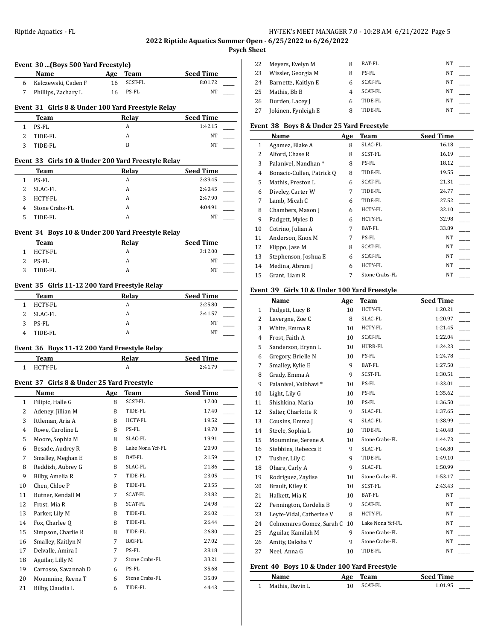# **2022 Riptide Aquatics Summer Open - 6/25/2022 to 6/26/2022**

# **Psych Sheet**

|  |  | Event 30 (Boys 500 Yard Freestyle) |  |
|--|--|------------------------------------|--|
|  |  |                                    |  |

| Name                  | Age | Team       | <b>Seed Time</b> |  |
|-----------------------|-----|------------|------------------|--|
| 6 Kelczewski, Caden F |     | 16 SCST-FL | 8:01.72          |  |
| Phillips, Zachary L   |     | 16 PS-FL   | NT               |  |

## **Event 31 Girls 8 & Under 100 Yard Freestyle Relay**

| Team      | Relav | <b>Seed Time</b> |
|-----------|-------|------------------|
| PS-FL     |       | 1:42.15          |
| 2 TIDE-FL |       | NΤ               |
| TIDE-FL   |       | <b>NT</b>        |

# **Event 33 Girls 10 & Under 200 Yard Freestyle Relay**

|   | Team           | Relay | <b>Seed Time</b> |
|---|----------------|-------|------------------|
|   | PS-FL          | A     | 2:39.45          |
|   | SLAC-FL        | A     | 2:40.45          |
| 3 | HCTY-FL        | A     | 2:47.90          |
| 4 | Stone Crabs-FL | A     | 4:04.91          |
|   | TIDE-FL        | A     | NT               |

#### **Event 34 Boys 10 & Under 200 Yard Freestyle Relay**

|    | <b>Team</b> | Relay | <b>Seed Time</b> |
|----|-------------|-------|------------------|
|    | 1 HCTY-FL   | A     | 3:12.00          |
| 2. | PS-FL       | A     | NT               |
|    | TIDE-FL     | A     | NT               |

### **Event 35 Girls 11-12 200 Yard Freestyle Relay**

|   | Team    | Relay | <b>Seed Time</b> |
|---|---------|-------|------------------|
|   | HCTY-FL | A     | 2:25.80          |
|   | SLAC-FL |       | 2:41.57          |
| 3 | PS-FL   | А     | NT               |
|   | TIDE-FL |       | NT               |

### **Event 36 Boys 11-12 200 Yard Freestyle Relay**

| Team       | Relay | <b>Seed Time</b> |
|------------|-------|------------------|
| $HCTV$ -FI | n     | 2.41.79          |

# **Event 37 Girls 8 & Under 25 Yard Freestyle**

|                | Name                 | <b>Age</b> | Team             | <b>Seed Time</b> |
|----------------|----------------------|------------|------------------|------------------|
| $\mathbf{1}$   | Filipic, Halle G     | 8          | SCST-FL          | 17.00            |
| 2              | Adeney, Jillian M    | 8          | TIDE-FL          | 17.40            |
| 3              | Ittleman, Aria A     | 8          | HCTY-FL          | 19.52            |
| $\overline{4}$ | Rowe, Caroline L     | 8          | PS-FL            | 19.70            |
| 5              | Moore, Sophia M      | 8          | SLAC-FL          | 19.91            |
| 6              | Besade, Audrey R     | 8          | Lake Nona Ycf-FL | 20.90            |
| 7              | Smalley, Meghan E    | 8          | BAT-FL           | 21.59            |
| 8              | Reddish, Aubrey G    | 8          | SLAC-FL          | 21.86            |
| 9              | Bilby, Amelia R      | 7          | TIDE-FL          | 23.05            |
| 10             | Chen, Chloe P        | 8          | TIDE-FL          | 23.55            |
| 11             | Butner, Kendall M    | 7          | SCAT-FL          | 23.82            |
| 12             | Frost, Mia R         | 8          | <b>SCAT-FL</b>   | 24.98            |
| 13             | Parker, Lily M       | 8          | TIDE-FL          | 26.02            |
| 14             | Fox, Charlee Q       | 8          | TIDE-FL          | 26.44            |
| 15             | Simpson, Charlie R   | 8          | TIDE-FL          | 26.80            |
| 16             | Smalley, Kaitlyn N   | 7          | <b>BAT-FL</b>    | 27.02            |
| 17             | Delvalle, Amira I    | 7          | PS-FL            | 28.18            |
| 18             | Aguilar, Lilly M     | 7          | Stone Crabs-FL   | 33.21            |
| 19             | Carrosso, Savannah D | 6          | PS-FL            | 35.68            |
| 20             | Moumnine, Reena T    | 6          | Stone Crabs-FL   | 35.89            |
| 21             | Bilby, Claudia L     | 6          | TIDE-FL          | 44.43            |

| 22  | Meyers, Evelyn M    |   | BAT-FL         | <b>NT</b> |  |
|-----|---------------------|---|----------------|-----------|--|
| 23  | Wissler, Georgia M  | 8 | PS-FL          | NΤ        |  |
| 24  | Barnette, Kaitlyn E | 6 | <b>SCAT-FL</b> | NΤ        |  |
| 25  | Mathis. Bb B        |   | <b>SCAT-FL</b> | NT        |  |
| 26  | Durden, Lacey J     |   | TIDE-FL        | NΤ        |  |
| -27 | Jokinen, Fynleigh E |   | TIDE-FL        | NΤ        |  |

## **Event 38 Boys 8 & Under 25 Yard Freestyle**

|              | Name                      | Age | Team           | <b>Seed Time</b> |
|--------------|---------------------------|-----|----------------|------------------|
| $\mathbf{1}$ | Agamez, Blake A           | 8   | SLAC-FL        | 16.18            |
| 2            | Alford, Chase R           | 8   | SCST-FL        | 16.19            |
| 3            | Palanivel, Nandhan *      | 8   | PS-FL          | 18.12            |
| 4            | Bonacic-Cullen, Patrick Q | 8   | TIDE-FL        | 19.55            |
| 5            | Mathis, Preston L         | 6   | <b>SCAT-FL</b> | 21.31            |
| 6            | Diveley, Carter W         | 7   | TIDE-FL        | 24.77            |
| 7            | Lamb, Micah C             | 6   | TIDE-FL        | 27.52            |
| 8            | Chambers, Mason J         | 6   | HCTY-FL        | 32.10            |
| 9            | Padgett, Myles D          | 6   | HCTY-FL        | 32.98            |
| 10           | Cotrino, Julian A         | 7   | BAT-FL         | 33.89            |
| 11           | Anderson, Knox M          | 7   | PS-FL          | <b>NT</b>        |
| 12           | Flippo, Jase M            | 8   | <b>SCAT-FL</b> | <b>NT</b>        |
| 13           | Stephenson, Joshua E      | 6   | SCAT-FL        | NT               |
| 14           | Medina, Abram J           | 6   | <b>HCTY-FL</b> | <b>NT</b>        |
| 15           | Grant, Liam R             | 7   | Stone Crabs-FL | <b>NT</b>        |

#### **Event 39 Girls 10 & Under 100 Yard Freestyle**

|              | Name                      | Age | Team             | <b>Seed Time</b> |
|--------------|---------------------------|-----|------------------|------------------|
| $\mathbf{1}$ | Padgett, Lucy B           | 10  | HCTY-FL          | 1:20.21          |
| 2            | Lavergne, Zoe C           | 8   | SLAC-FL          | 1:20.97          |
| 3            | White, Emma R             | 10  | HCTY-FL          | 1:21.45          |
| 4            | Frost, Faith A            | 10  | SCAT-FL          | 1:22.04          |
| 5            | Sanderson, Erynn L        | 10  | HURR-FL          | 1:24.23          |
| 6            | Gregory, Brielle N        | 10  | PS-FL            | 1:24.78          |
| 7            | Smalley, Kylie E          | 9   | BAT-FL           | 1:27.50          |
| 8            | Grady, Emma A             | 9   | SCST-FL          | 1:30.51          |
| 9            | Palanivel, Vaibhavi*      | 10  | PS-FL            | 1:33.01          |
| 10           | Light, Lily G             | 10  | PS-FL            | 1:35.62          |
| 11           | Shishkina, Maria          | 10  | PS-FL            | 1:36.50          |
| 12           | Salter, Charlotte R       | 9   | SLAC-FL          | 1:37.65          |
| 13           | Cousins, Emma J           | 9   | SLAC-FL          | 1:38.99          |
| 14           | Steele, Sophia L          | 10  | TIDE-FL          | 1:40.48          |
| 15           | Moumnine, Serene A        | 10  | Stone Crabs-FL   | 1:44.73          |
| 16           | Stebbins, Rebecca E       | 9   | SLAC-FL          | 1:46.80          |
| 17           | Tusher, Lily C            | 9   | TIDE-FL          | 1:49.10          |
| 18           | Ohara, Carly A            | 9   | SLAC-FL          | 1:50.99          |
| 19           | Rodriguez, Zaylise        | 10  | Stone Crabs-FL   | 1:53.17          |
| 20           | Brault, Kiley E           | 10  | SCST-FL          | 2:43.43          |
| 21           | Halkett, Mia K            | 10  | BAT-FL           | <b>NT</b>        |
| 22           | Pennington, Cordelia B    | 9   | SCAT-FL          | <b>NT</b>        |
| 23           | Leyte-Vidal, Catherine V  | 8   | HCTY-FL          | NT               |
| 24           | Colmenares Gomez, Sarah C | 10  | Lake Nona Ycf-FL | NT               |
| 25           | Aguilar, Kamilah M        | 9   | Stone Crabs-FL   | NT               |
| 26           | Amity, Daksha V           | 9   | Stone Crabs-FL   | <b>NT</b>        |
| 27           | Neel, Anna G              | 10  | TIDE-FL          | NT               |
|              |                           |     |                  |                  |

#### **Event 40 Boys 10 & Under 100 Yard Freestyle**

| <b>Name</b>     |    | Age Team | <b>Seed Time</b> |
|-----------------|----|----------|------------------|
| Mathis, Davin L | 10 | SCAT-FL  | 1:01.95          |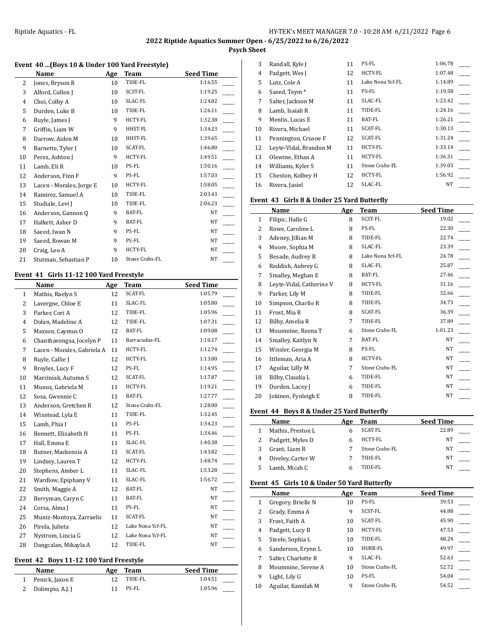**Psych Sheet**  $\overline{1}$ 

## **Event 40 ...(Boys 10 & Under 100 Yard Freestyle)**

|    | Name                     | Age | <b>Team</b>    | <b>Seed Time</b> |
|----|--------------------------|-----|----------------|------------------|
| 2  | Jones, Bryson R          | 10  | TIDE-FL        | 1:16.55          |
| 3  | Alford, Cullen J         | 10  | SCST-FL        | 1:19.25          |
| 4  | Choi, Colby A            | 10  | SLAC-FL        | 1:24.82          |
| 5  | Durden, Luke B           | 10  | TIDE-FL        | 1:26.11          |
| 6  | Ruyle, James J           | 9   | HCTY-FL        | 1:32.38          |
| 7  | Griffin, Liam W          | 9   | HHST-FL        | 1:34.23          |
| 8  | Darrow, Aiden M          | 10  | HHST-FL        | 1:39.65          |
| 9  | Barnette, Tyler J        | 10  | SCAT-FL        | 1:46.80          |
| 10 | Perez, Ashton J          | 9   | <b>HCTY-FL</b> | 1:49.51          |
| 11 | Lamb, Eli R              | 10  | PS-FL          | 1:50.16          |
| 12 | Anderson, Finn F         | 9   | PS-FL          | 1:57.03          |
| 13 | Lacen - Morales, Jorge E | 10  | HCTY-FL        | 1:58.05          |
| 14 | Ramirez, Samuel A        | 10  | TIDE-FL        | 2:03.43          |
| 15 | Studiale, Levi J         | 10  | TIDE-FL        | 2:06.23          |
| 16 | Anderson, Gannon Q       | 9   | BAT-FL         | NT               |
| 17 | Halkett, Asher D         | 9   | BAT-FL         | NT               |
| 18 | Saeed, Iwan N            | 9   | PS-FL          | NT               |
| 19 | Saeed, Rowan M           | 9   | PS-FL          | <b>NT</b>        |
| 20 | Craig, Leo A             | 9   | HCTY-FL        | NT               |
| 21 | Stutman, Sebastian P     | 10  | Stone Crabs-FL | NT               |

#### **Event 41 Girls 11-12 100 Yard Freestyle**

|                | Name                        | Age | Team             | <b>Seed Time</b> |
|----------------|-----------------------------|-----|------------------|------------------|
| $\mathbf{1}$   | Mathis, Raelyn S            | 12  | <b>SCAT-FL</b>   | 1:05.79          |
| $\overline{2}$ | Lavergne, Chloe E           | 11  | SLAC-FL          | 1:05.80          |
| 3              | Parker, Cori A              | 12  | TIDE-FL          | 1:05.96          |
| 4              | Dolan, Madeline A           | 12  | TIDE-FL          | 1:07.31          |
| 5              | Maxson, Caymus O            | 12  | BAT-FL           | 1:09.08          |
| 6              | Chanthavongsa, Jocelyn P    | 11  | Barracudas-FL    | 1:10.17          |
| 7              | Lacen - Morales, Gabriela A | 11  | HCTY-FL          | 1:12.74          |
| 8              | Ruyle, Callie J             | 12  | HCTY-FL          | 1:13.80          |
| 9              | Broyles, Lucy F             | 12  | PS-FL            | 1:14.95          |
| 10             | Marciniak, Autumn S         | 12  | SCAT-FL          | 1:17.87          |
| 11             | Munoz, Gabriela M           | 11  | HCTY-FL          | 1:19.21          |
| 12             | Sosa, Gwennie C             | 11  | BAT-FL           | 1:27.77          |
| 13             | Anderson, Gretchen R        | 12  | Stone Crabs-FL   | 1:28.00          |
| 14             | Winstead, Lyla E            | 11  | TIDE-FL          | 1:32.45          |
| 15             | Lamb, Phia I                | 11  | PS-FL            | 1:34.23          |
| 16             | Bennett, Elizabeth H        | 11  | PS-FL            | 1:34.46          |
| 17             | Hall, Emma E                | 11  | SLAC-FL          | 1:40.38          |
| 18             | Butner, Mackenzie A         | 11  | <b>SCAT-FL</b>   | 1:43.82          |
| 19             | Lindsey, Lauren T           | 12  | HCTY-FL          | 1:48.74          |
| 20             | Stephens, Amber L           | 11  | SLAC-FL          | 1:53.28          |
| 21             | Wardlow, Epiphany V         | 11  | SLAC-FL          | 1:56.72          |
| 22             | Smith, Maggie A             | 12  | BAT-FL           | NT               |
| 23             | Berryman, Caryn C           | 11  | BAT-FL           | NT               |
| 24             | Corsa, Alma J               | 11  | PS-FL            | NT               |
| 25             | Muniz-Montoya, Zarraelis    | 11  | <b>SCAT-FL</b>   | NT               |
| 26             | Pirela, Julieta             | 12  | Lake Nona Ycf-FL | NT               |
| 27             | Nystrom, Lincia G           | 12  | Lake Nona Ycf-FL | NT               |
| 28             | Dangcalan, Mikayla A        | 12  | TIDE-FL          | NT               |

# **Event 42 Boys 11-12 100 Yard Freestyle**

| Name               | Age Team | <b>Seed Time</b> |
|--------------------|----------|------------------|
| 1 Penick, Jaxon E  | TIDE-FL  | 1:04.51          |
| 2 Dolimpio, A.J. J | PS-FL    | 1:05.96          |

| 3  | Randall, Kyle J          | 11 | PS-FL            | 1:06.78   |  |
|----|--------------------------|----|------------------|-----------|--|
| 4  | Padgett, Wes J           | 12 | <b>HCTY-FL</b>   | 1:07.48   |  |
| 5  | Lutz, Cole A             | 11 | Lake Nona Ycf-FL | 1:14.89   |  |
| 6  | Saeed, Teym <sup>*</sup> | 11 | PS-FL            | 1:19.58   |  |
| 7  | Salter, Jackson M        | 11 | SLAC-FL          | 1:23.42   |  |
| 8  | Lamb, Isaiah R           | 11 | TIDE-FL          | 1:24.16   |  |
| 9  | Mentis, Lucas E          | 11 | BAT-FL           | 1:26.21   |  |
| 10 | Rivera, Michael          | 11 | SCAT-FL          | 1:30.13   |  |
| 11 | Pennington, Crusoe F     | 12 | SCAT-FL          | 1:31.24   |  |
| 12 | Leyte-Vidal, Brandon M   | 11 | <b>HCTY-FL</b>   | 1:33.14   |  |
| 13 | Olewine, Ethan A         | 11 | <b>HCTY-FL</b>   | 1:36.31   |  |
| 14 | Williams, Kyler S        | 11 | Stone Crabs-FL   | 1:39.03   |  |
| 15 | Cheston, Kolbey H        | 12 | <b>HCTY-FL</b>   | 1:56.92   |  |
| 16 | Rivera, Jasiel           | 12 | SLAC-FL          | <b>NT</b> |  |
|    |                          |    |                  |           |  |

## **Event 43 Girls 8 & Under 25 Yard Butterfly**

|    | Name                     | Age | Team             | <b>Seed Time</b> |
|----|--------------------------|-----|------------------|------------------|
| 1  | Filipic, Halle G         | 8   | SCST-FL          | 19.02            |
| 2  | Rowe, Caroline L         | 8   | PS-FL            | 22.30            |
| 3  | Adeney, Jillian M        | 8   | TIDE-FL          | 22.74            |
| 4  | Moore, Sophia M          | 8   | SLAC-FL          | 23.39            |
| 5  | Besade, Audrey R         | 8   | Lake Nona Ycf-FL | 24.78            |
| 6  | Reddish, Aubrey G        | 8   | SLAC-FL          | 25.87            |
| 7  | Smalley, Meghan E        | 8   | BAT-FL           | 27.46            |
| 8  | Leyte-Vidal, Catherine V | 8   | HCTY-FL          | 31.16            |
| 9  | Parker, Lily M           | 8   | TIDE-FL          | 32.66            |
| 10 | Simpson, Charlie R       | 8   | TIDE-FL          | 34.73            |
| 11 | Frost, Mia R             | 8   | <b>SCAT-FL</b>   | 36.39            |
| 12 | Bilby, Amelia R          | 7   | TIDE-FL          | 37.89            |
| 13 | Moumnine, Reena T        | 6   | Stone Crabs-FL   | 1:01.23          |
| 14 | Smalley, Kaitlyn N       | 7   | <b>BAT-FL</b>    | <b>NT</b>        |
| 15 | Wissler, Georgia M       | 8   | PS-FL            | NT               |
| 16 | Ittleman, Aria A         | 8   | HCTY-FL          | <b>NT</b>        |
| 17 | Aguilar, Lilly M         | 7   | Stone Crabs-FL   | <b>NT</b>        |
| 18 | Bilby, Claudia L         | 6   | TIDE-FL          | NT               |
| 19 | Durden, Lacey J          | 6   | TIDE-FL          | <b>NT</b>        |
| 20 | Jokinen, Fynleigh E      | 8   | TIDE-FL          | NT               |
|    |                          |     |                  |                  |

### **Event 44 Boys 8 & Under 25 Yard Butterfly**

|   | Name              | Age | Team           | <b>Seed Time</b> |
|---|-------------------|-----|----------------|------------------|
|   | Mathis, Preston L |     | SCAT-FL        | 22.89            |
|   | Padgett, Myles D  |     | HCTY-FL        | NΤ               |
|   | Grant, Liam R     |     | Stone Crabs-FL | <b>NT</b>        |
| 4 | Diveley, Carter W |     | TIDE-FL        | NΤ               |
|   | Lamb, Micah C     |     | TIDE-FL        | <b>NT</b>        |

### **Event 45 Girls 10 & Under 50 Yard Butterfly**

|    | Name                | Age | <b>Team</b>    | <b>Seed Time</b> |
|----|---------------------|-----|----------------|------------------|
| 1  | Gregory, Brielle N  | 10  | PS-FL          | 39.53            |
| 2  | Grady, Emma A       | 9   | SCST-FL        | 44.88            |
| 3  | Frost, Faith A      | 10  | <b>SCAT-FL</b> | 45.90            |
| 4  | Padgett, Lucy B     | 10  | <b>HCTY-FL</b> | 47.53            |
| 5  | Steele, Sophia L    | 10  | TIDE-FL        | 48.24            |
| 6  | Sanderson, Erynn L  | 10  | HURR-FL        | 49.97            |
| 7  | Salter, Charlotte R | 9   | SLAC-FL        | 52.63            |
| 8  | Moumnine, Serene A  | 10  | Stone Crabs-FL | 52.72            |
| 9  | Light, Lily G       | 10  | PS-FL          | 54.04            |
| 10 | Aguilar, Kamilah M  | 9   | Stone Crabs-FL | 54.52            |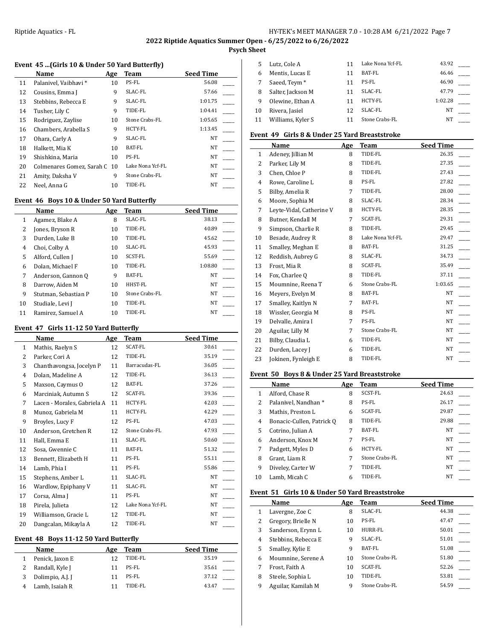# **2022 Riptide Aquatics Summer Open - 6/25/2022 to 6/26/2022**

# **Psych Sheet**

# **Event 45 ...(Girls 10 & Under 50 Yard Butterfly)**

|    | Name                         | Age | Team             | <b>Seed Time</b> |  |
|----|------------------------------|-----|------------------|------------------|--|
| 11 | Palanivel, Vaibhavi *        | 10  | PS-FL            | 56.08            |  |
| 12 | Cousins, Emma J              | 9   | SLAC-FL          | 57.66            |  |
| 13 | Stebbins, Rebecca E          | 9   | SLAC-FL          | 1:01.75          |  |
| 14 | Tusher, Lily C               | 9   | TIDE-FL          | 1:04.41          |  |
| 15 | Rodriguez, Zaylise           | 10  | Stone Crabs-FL   | 1:05.65          |  |
| 16 | Chambers, Arabella S         | 9   | <b>HCTY-FL</b>   | 1:13.45          |  |
| 17 | Ohara, Carly A               | 9   | SLAC-FL          | NT               |  |
| 18 | Halkett, Mia K               | 10  | BAT-FL           | NT               |  |
| 19 | Shishkina, Maria             | 10  | PS-FL            | NT               |  |
| 20 | Colmenares Gomez, Sarah C 10 |     | Lake Nona Ycf-FL | <b>NT</b>        |  |
| 21 | Amity, Daksha V              | 9   | Stone Crabs-FL   | NT               |  |
| 22 | Neel. Anna G                 | 10  | TIDE-FL          | NT               |  |
|    |                              |     |                  |                  |  |

# **Event 46 Boys 10 & Under 50 Yard Butterfly**

|    | Name                 | Age | Team           | <b>Seed Time</b> |  |
|----|----------------------|-----|----------------|------------------|--|
| 1  | Agamez, Blake A      | 8   | SLAC-FL        | 38.13            |  |
| 2  | Jones, Bryson R      | 10  | TIDE-FL        | 40.89            |  |
| 3  | Durden, Luke B       | 10  | TIDE-FL        | 45.62            |  |
| 4  | Choi, Colby A        | 10  | SLAC-FL        | 45.93            |  |
| 5  | Alford, Cullen J     | 10  | SCST-FL        | 55.69            |  |
| 6  | Dolan, Michael F     | 10  | TIDE-FL        | 1:08.80          |  |
| 7  | Anderson, Gannon Q   | 9   | BAT-FL         | <b>NT</b>        |  |
| 8  | Darrow, Aiden M      | 10  | HHST-FL        | NT               |  |
| 9  | Stutman, Sebastian P | 10  | Stone Crabs-FL | NT               |  |
| 10 | Studiale, Levi J     | 10  | TIDE-FL        | NT               |  |
| 11 | Ramirez, Samuel A    | 10  | TIDE-FL        | NT               |  |

#### **Event 47 Girls 11-12 50 Yard Butterfly**

|              | Name                        | Age | Team             | <b>Seed Time</b> |
|--------------|-----------------------------|-----|------------------|------------------|
| $\mathbf{1}$ | Mathis, Raelyn S            | 12  | <b>SCAT-FL</b>   | 30.61            |
| 2            | Parker, Cori A              | 12  | TIDE-FL          | 35.19            |
| 3            | Chanthavongsa, Jocelyn P    | 11  | Barracudas-FL    | 36.05            |
| 4            | Dolan, Madeline A           | 12  | TIDE-FL          | 36.13            |
| 5            | Maxson, Caymus O            | 12  | BAT-FL           | 37.26            |
| 6            | Marciniak, Autumn S         | 12  | <b>SCAT-FL</b>   | 39.36            |
| 7            | Lacen - Morales, Gabriela A | 11  | HCTY-FL          | 42.03            |
| 8            | Munoz, Gabriela M           | 11  | HCTY-FL          | 42.29            |
| 9            | Broyles, Lucy F             | 12  | PS-FL            | 47.03            |
| 10           | Anderson, Gretchen R        | 12  | Stone Crabs-FL   | 47.93            |
| 11           | Hall, Emma E                | 11  | SLAC-FL          | 50.60            |
| 12           | Sosa, Gwennie C             | 11  | BAT-FL           | 51.32            |
| 13           | Bennett, Elizabeth H        | 11  | PS-FL            | 55.11            |
| 14           | Lamb, Phia I                | 11  | PS-FL            | 55.86            |
| 15           | Stephens, Amber L           | 11  | SLAC-FL          | <b>NT</b>        |
| 16           | Wardlow, Epiphany V         | 11  | SLAC-FL          | <b>NT</b>        |
| 17           | Corsa, Alma J               | 11  | PS-FL            | <b>NT</b>        |
| 18           | Pirela, Julieta             | 12  | Lake Nona Ycf-FL | NT               |
| 19           | Williamson, Gracie L        | 12  | TIDE-FL          | <b>NT</b>        |
| 20           | Dangcalan, Mikayla A        | 12  | TIDE-FL          | NT               |

### **Event 48 Boys 11-12 50 Yard Butterfly**

| Name             | Age | Team    | <b>Seed Time</b> |
|------------------|-----|---------|------------------|
| Penick, Jaxon E  | 12  | TIDE-FL | 35.19            |
| Randall, Kyle J  | 11  | PS-FL   | 35.61            |
| Dolimpio, A.J. J |     | PS-FL   | 37.12            |
| Lamb, Isaiah R   |     | TIDE-FL | 43.47            |

|    | Lutz, Cole A             |    | Lake Nona Ycf-FL | 43.92   |  |
|----|--------------------------|----|------------------|---------|--|
| 6  | Mentis, Lucas E          |    | BAT-FL           | 46.46   |  |
|    | Saeed, Teym <sup>*</sup> | 11 | PS-FL            | 46.90   |  |
| 8  | Salter, Jackson M        | 11 | SLAC-FL          | 47.79   |  |
| 9  | Olewine, Ethan A         | 11 | <b>HCTY-FL</b>   | 1:02.28 |  |
| 10 | Rivera, Jasiel           | 12 | SLAC-FL          | NΤ      |  |
| 11 | Williams, Kyler S        |    | Stone Crabs-FL   | NΤ      |  |

# **Event 49 Girls 8 & Under 25 Yard Breaststroke**

|                | Name                     | Age | Team             | <b>Seed Time</b> |
|----------------|--------------------------|-----|------------------|------------------|
| $\mathbf{1}$   | Adeney, Jillian M        | 8   | TIDE-FL          | 26.35            |
| $\overline{2}$ | Parker, Lily M           | 8   | TIDE-FL          | 27.35            |
| 3              | Chen, Chloe P            | 8   | TIDE-FL          | 27.43            |
| 4              | Rowe, Caroline L         | 8   | PS-FL            | 27.82            |
| 5              | Bilby, Amelia R          | 7   | TIDE-FL          | 28.00            |
| 6              | Moore, Sophia M          | 8   | SLAC-FL          | 28.34            |
| 7              | Leyte-Vidal, Catherine V | 8   | HCTY-FL          | 28.35            |
| 8              | Butner, Kendall M        | 7   | SCAT-FL          | 29.31            |
| 9              | Simpson, Charlie R       | 8   | TIDE-FL          | 29.45            |
| 10             | Besade, Audrey R         | 8   | Lake Nona Ycf-FL | 29.47            |
| 11             | Smalley, Meghan E        | 8   | BAT-FL           | 31.25            |
| 12             | Reddish, Aubrey G        | 8   | SLAC-FL          | 34.73            |
| 13             | Frost, Mia R             | 8   | SCAT-FL          | 35.49            |
| 14             | Fox, Charlee Q           | 8   | TIDE-FL          | 37.11            |
| 15             | Moumnine, Reena T        | 6   | Stone Crabs-FL   | 1:03.65          |
| 16             | Meyers, Evelyn M         | 8   | BAT-FL           | NT               |
| 17             | Smalley, Kaitlyn N       | 7   | BAT-FL           | NT               |
| 18             | Wissler, Georgia M       | 8   | PS-FL            | NT               |
| 19             | Delvalle, Amira I        | 7   | PS-FL            | <b>NT</b>        |
| 20             | Aguilar, Lilly M         | 7   | Stone Crabs-FL   | NT               |
| 21             | Bilby, Claudia L         | 6   | TIDE-FL          | NT               |
| 22             | Durden, Lacey J          | 6   | TIDE-FL          | NT               |
| 23             | Jokinen, Fynleigh E      | 8   | TIDE-FL          | NT               |

## **Event 50 Boys 8 & Under 25 Yard Breaststroke**

|    | <b>Name</b>               | Age | Team           | <b>Seed Time</b> |
|----|---------------------------|-----|----------------|------------------|
|    | Alford, Chase R           | 8   | <b>SCST-FL</b> | 24.63            |
| 2  | Palanivel, Nandhan *      | 8   | PS-FL          | 26.17            |
| 3  | Mathis. Preston L         | 6   | <b>SCAT-FL</b> | 29.87            |
| 4  | Bonacic-Cullen, Patrick Q | 8   | TIDE-FL        | 29.88            |
| 5  | Cotrino, Julian A         | 7   | BAT-FL         | <b>NT</b>        |
| 6  | Anderson. Knox M          | 7   | PS-FL          | <b>NT</b>        |
| 7  | Padgett, Myles D          | 6   | <b>HCTY-FL</b> | <b>NT</b>        |
| 8  | Grant, Liam R             | 7   | Stone Crabs-FL | <b>NT</b>        |
| 9  | Diveley, Carter W         | 7   | TIDE-FL        | <b>NT</b>        |
| 10 | Lamb, Micah C             | 6   | TIDE-FL        | NT               |

#### **Event 51 Girls 10 & Under 50 Yard Breaststroke**

|   | Name                | Age | Team           | <b>Seed Time</b> |
|---|---------------------|-----|----------------|------------------|
|   | Lavergne, Zoe C     | 8   | SLAC-FL        | 44.38            |
| 2 | Gregory, Brielle N  | 10  | PS-FL          | 47.47            |
| 3 | Sanderson, Erynn L  | 10  | HURR-FL        | 50.01            |
| 4 | Stebbins, Rebecca E | 9   | SLAC-FL        | 51.01            |
| 5 | Smalley, Kylie E    | 9   | BAT-FL         | 51.08            |
| 6 | Moumnine, Serene A  | 10  | Stone Crabs-FL | 51.80            |
| 7 | Frost, Faith A      | 10  | SCAT-FL        | 52.26            |
| 8 | Steele, Sophia L    | 10  | TIDE-FL        | 53.81            |
| 9 | Aguilar, Kamilah M  | 9   | Stone Crabs-FL | 54.59            |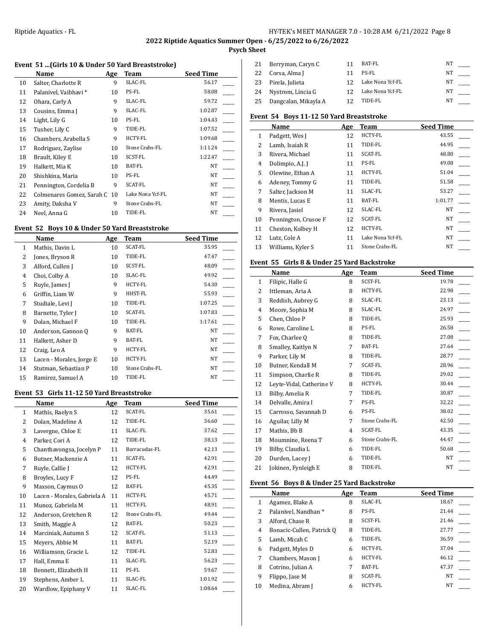# **2022 Riptide Aquatics Summer Open - 6/25/2022 to 6/26/2022**

**Psych Sheet**

# **Event 51 ...(Girls 10 & Under 50 Yard Breaststroke)**

|    | Name                      | Age | Team             | <b>Seed Time</b> |  |
|----|---------------------------|-----|------------------|------------------|--|
| 10 | Salter, Charlotte R       | 9   | SLAC-FL          | 56.17            |  |
| 11 | Palanivel, Vaibhavi *     | 10  | PS-FL            | 58.08            |  |
| 12 | Ohara, Carly A            | 9   | SLAC-FL          | 59.72            |  |
| 13 | Cousins, Emma J           | 9   | SLAC-FL          | 1:02.87          |  |
| 14 | Light, Lily G             | 10  | PS-FL            | 1:04.43          |  |
| 15 | Tusher, Lily C            | 9   | TIDE-FL          | 1:07.52          |  |
| 16 | Chambers, Arabella S      | 9   | <b>HCTY-FL</b>   | 1:09.68          |  |
| 17 | Rodriguez, Zaylise        | 10  | Stone Crabs-FL   | 1:11.24          |  |
| 18 | Brault, Kiley E           | 10  | SCST-FL          | 1:22.47          |  |
| 19 | Halkett, Mia K            | 10  | BAT-FL           | NT               |  |
| 20 | Shishkina, Maria          | 10  | PS-FL            | NT               |  |
| 21 | Pennington, Cordelia B    | 9   | <b>SCAT-FL</b>   | NT               |  |
| 22 | Colmenares Gomez, Sarah C | 10  | Lake Nona Ycf-FL | NT               |  |
| 23 | Amity, Daksha V           | 9   | Stone Crabs-FL   | NT               |  |
| 24 | Neel, Anna G              | 10  | TIDE-FL          | NT               |  |

# **Event 52 Boys 10 & Under 50 Yard Breaststroke**

|    | Name                     | Age | Team           | <b>Seed Time</b> |
|----|--------------------------|-----|----------------|------------------|
| 1  | Mathis, Davin L          | 10  | SCAT-FL        | 35.95            |
| 2  | Jones, Bryson R          | 10  | TIDE-FL        | 47.47            |
| 3  | Alford, Cullen J         | 10  | SCST-FL        | 48.09            |
| 4  | Choi, Colby A            | 10  | SLAC-FL        | 49.92            |
| 5  | Ruyle, James J           | 9   | HCTY-FL        | 54.30            |
| 6  | Griffin, Liam W          | 9   | HHST-FL        | 55.93            |
| 7  | Studiale, Levi J         | 10  | TIDE-FL        | 1:07.25          |
| 8  | Barnette, Tyler J        | 10  | SCAT-FL        | 1:07.83          |
| 9  | Dolan, Michael F         | 10  | TIDE-FL        | 1:17.61          |
| 10 | Anderson, Gannon Q       | 9   | BAT-FL         | NT               |
| 11 | Halkett, Asher D         | 9   | BAT-FL         | NT               |
| 12 | Craig, Leo A             | 9   | HCTY-FL        | NT               |
| 13 | Lacen - Morales, Jorge E | 10  | HCTY-FL        | NT               |
| 14 | Stutman, Sebastian P     | 10  | Stone Crabs-FL | NT               |
| 15 | Ramirez, Samuel A        | 10  | TIDE-FL        | NT               |

#### **Event 53 Girls 11-12 50 Yard Breaststroke**

|                | Name                        | Age | Team           | <b>Seed Time</b> |
|----------------|-----------------------------|-----|----------------|------------------|
| $\mathbf{1}$   | Mathis, Raelyn S            | 12  | <b>SCAT-FL</b> | 35.61            |
| $\overline{2}$ | Dolan, Madeline A           | 12  | TIDE-FL        | 36.60            |
| 3              | Lavergne, Chloe E           | 11  | SLAC-FL        | 37.62            |
| $\overline{4}$ | Parker, Cori A              | 12  | TIDE-FL        | 38.13            |
| 5              | Chanthavongsa, Jocelyn P    | 11  | Barracudas-FL  | 42.13            |
| 6              | Butner, Mackenzie A         | 11  | SCAT-FL        | 42.91            |
| 7              | Ruyle, Callie J             | 12  | HCTY-FL        | 42.91            |
| 8              | Broyles, Lucy F             | 12  | PS-FL          | 44.49            |
| 9              | Maxson, Caymus O            | 12  | BAT-FL         | 45.35            |
| 10             | Lacen - Morales, Gabriela A | 11  | HCTY-FL        | 45.71            |
| 11             | Munoz, Gabriela M           | 11  | <b>HCTY-FL</b> | 48.91            |
| 12             | Anderson, Gretchen R        | 12  | Stone Crabs-FL | 49.44            |
| 13             | Smith, Maggie A             | 12  | BAT-FL         | 50.23            |
| 14             | Marciniak, Autumn S         | 12  | <b>SCAT-FL</b> | 51.13            |
| 15             | Meyers, Abbie M             | 11  | BAT-FL         | 52.19            |
| 16             | Williamson, Gracie L        | 12  | TIDE-FL        | 52.83            |
| 17             | Hall, Emma E                | 11  | SLAC-FL        | 56.23            |
| 18             | Bennett, Elizabeth H        | 11  | PS-FL          | 59.67            |
| 19             | Stephens, Amber L           | 11  | SLAC-FL        | 1:01.92          |
| 20             | Wardlow, Epiphany V         | 11  | SLAC-FL        | 1:08.64          |

| 21 | Berryman, Caryn C    | BAT-FL           | ΝT |  |
|----|----------------------|------------------|----|--|
| 22 | Corsa, Alma J        | PS-FL            | NΤ |  |
| 23 | Pirela, Julieta      | Lake Nona Ycf-FL | NΤ |  |
| 24 | Nystrom, Lincia G    | Lake Nona Ycf-FL | NΤ |  |
| 25 | Dangcalan, Mikayla A | TIDE-FL          | NΤ |  |

# **Event 54 Boys 11-12 50 Yard Breaststroke**

|    | Name                 | Age | Team             | <b>Seed Time</b> |
|----|----------------------|-----|------------------|------------------|
| 1  | Padgett, Wes J       | 12  | <b>HCTY-FL</b>   | 43.55            |
| 2  | Lamb, Isaiah R       | 11  | TIDE-FL          | 44.95            |
| 3  | Rivera, Michael      | 11  | <b>SCAT-FL</b>   | 48.80            |
| 4  | Dolimpio, A.J. J     | 11  | PS-FL            | 49.08            |
| 5  | Olewine, Ethan A     | 11  | HCTY-FL          | 51.04            |
| 6  | Adeney, Tommy G      | 11  | TIDE-FL          | 51.58            |
| 7  | Salter, Jackson M    | 11  | SLAC-FL          | 53.27            |
| 8  | Mentis, Lucas E      | 11  | BAT-FL           | 1:01.77          |
| 9  | Rivera, Jasiel       | 12  | SLAC-FL          | NT               |
| 10 | Pennington, Crusoe F | 12  | <b>SCAT-FL</b>   | NT               |
| 11 | Cheston, Kolbey H    | 12  | <b>HCTY-FL</b>   | <b>NT</b>        |
| 12 | Lutz, Cole A         | 11  | Lake Nona Ycf-FL | <b>NT</b>        |
| 13 | Williams, Kyler S    | 11  | Stone Crabs-FL   | <b>NT</b>        |

## **Event 55 Girls 8 & Under 25 Yard Backstroke**

|    | Name                     | Age | Team           | <b>Seed Time</b> |
|----|--------------------------|-----|----------------|------------------|
| 1  | Filipic, Halle G         | 8   | SCST-FL        | 19.78            |
| 2  | Ittleman, Aria A         | 8   | HCTY-FL        | 22.98            |
| 3  | Reddish, Aubrey G        | 8   | SLAC-FL        | 23.13            |
| 4  | Moore, Sophia M          | 8   | SLAC-FL        | 24.97            |
| 5  | Chen, Chloe P            | 8   | TIDE-FL        | 25.93            |
| 6  | Rowe, Caroline L         | 8   | PS-FL          | 26.58            |
| 7  | Fox, Charlee Q           | 8   | TIDE-FL        | 27.08            |
| 8  | Smalley, Kaitlyn N       | 7   | <b>BAT-FL</b>  | 27.64            |
| 9  | Parker, Lily M           | 8   | TIDE-FL        | 28.77            |
| 10 | Butner, Kendall M        | 7   | <b>SCAT-FL</b> | 28.96            |
| 11 | Simpson, Charlie R       | 8   | TIDE-FL        | 29.02            |
| 12 | Leyte-Vidal, Catherine V | 8   | HCTY-FL        | 30.44            |
| 13 | Bilby, Amelia R          | 7   | TIDE-FL        | 30.87            |
| 14 | Delvalle, Amira I        | 7   | PS-FL          | 32.22            |
| 15 | Carrosso, Savannah D     | 6   | PS-FL          | 38.02            |
| 16 | Aguilar, Lilly M         | 7   | Stone Crabs-FL | 42.50            |
| 17 | Mathis, Bb B             | 4   | <b>SCAT-FL</b> | 43.35            |
| 18 | Moumnine, Reena T        | 6   | Stone Crabs-FL | 44.47            |
| 19 | Bilby, Claudia L         | 6   | TIDE-FL        | 50.68            |
| 20 | Durden, Lacey J          | 6   | TIDE-FL        | NT               |
| 21 | Jokinen, Fynleigh E      | 8   | TIDE-FL        | <b>NT</b>        |

## **Event 56 Boys 8 & Under 25 Yard Backstroke**

|    | Name                      | Age | Team           | <b>Seed Time</b> |
|----|---------------------------|-----|----------------|------------------|
| 1  | Agamez, Blake A           | 8   | SLAC-FL        | 18.67            |
| 2  | Palanivel, Nandhan *      | 8   | PS-FL          | 21.44            |
| 3  | Alford, Chase R           | 8   | SCST-FL        | 21.46            |
| 4  | Bonacic-Cullen, Patrick Q | 8   | TIDE-FL        | 27.77            |
| 5  | Lamb, Micah C             | 6   | TIDE-FL        | 36.59            |
| 6  | Padgett, Myles D          | 6   | <b>HCTY-FL</b> | 37.04            |
| 7  | Chambers, Mason J         | 6   | <b>HCTY-FL</b> | 46.12            |
| 8  | Cotrino, Julian A         | 7   | BAT-FL         | 47.37            |
| 9  | Flippo, Jase M            | 8   | <b>SCAT-FL</b> | <b>NT</b>        |
| 10 | Medina, Abram J           | 6   | <b>HCTY-FL</b> | NT               |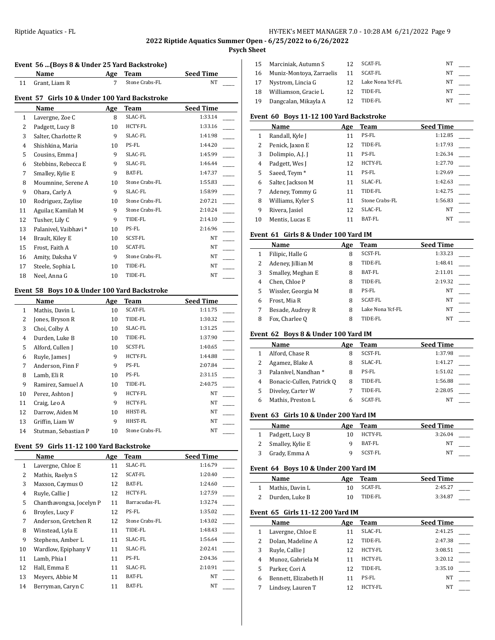# **2022 Riptide Aquatics Summer Open - 6/25/2022 to 6/26/2022**

# **Psych Sheet**

| Event 56  (Boys 8 & Under 25 Yard Backstroke) |                                               |     |                |                  |  |
|-----------------------------------------------|-----------------------------------------------|-----|----------------|------------------|--|
|                                               | Name                                          | Age | <b>Team</b>    | <b>Seed Time</b> |  |
| 11                                            | Grant, Liam R                                 | 7   | Stone Crabs-FL | NT               |  |
|                                               | Event 57 Girls 10 & Under 100 Yard Backstroke |     |                |                  |  |
|                                               | Name                                          | Age | <b>Team</b>    | <b>Seed Time</b> |  |
| 1                                             | Lavergne, Zoe C                               | 8   | SLAC-FL        | 1:33.14          |  |
| 2                                             | Padgett, Lucy B                               | 10  | HCTY-FL        | 1:33.16          |  |
| 3                                             | Salter, Charlotte R                           | 9   | SLAC-FL        | 1:41.98          |  |
| 4                                             | Shishkina, Maria                              | 10  | PS-FL          | 1:44.20          |  |
| 5                                             | Cousins, Emma J                               | 9   | SLAC-FL        | 1:45.99          |  |
| 6                                             | Stebbins, Rebecca E                           | 9   | SLAC-FL        | 1:46.44          |  |
| 7                                             | Smalley, Kylie E                              | 9   | <b>BAT-FL</b>  | 1:47.37          |  |
| 8                                             | Moumnine, Serene A                            | 10  | Stone Crabs-FL | 1:55.83          |  |
| 9                                             | Ohara, Carly A                                | 9   | SLAC-FL        | 1:58.99          |  |
| 10                                            | Rodriguez, Zaylise                            | 10  | Stone Crabs-FL | 2:07.21          |  |
| 11                                            | Aguilar, Kamilah M                            | 9   | Stone Crabs-FL | 2:10.24          |  |
| 12                                            | Tusher, Lily C                                | 9   | TIDE-FL        | 2:14.10          |  |
| 13                                            | Palanivel, Vaibhavi *                         | 10  | PS-FL          | 2:16.96          |  |
| 14                                            | Brault, Kiley E                               | 10  | SCST-FL        | NT               |  |
| 15                                            | Frost, Faith A                                | 10  | SCAT-FL        | <b>NT</b>        |  |
| 16                                            | Amity, Daksha V                               | 9   | Stone Crabs-FL | NT               |  |
| 17                                            | Steele, Sophia L                              | 10  | TIDE-FL        | NT               |  |
| 18                                            | Neel, Anna G                                  | 10  | TIDE-FL        | NT               |  |

# **Event 58 Boys 10 & Under 100 Yard Backstroke**

|              | Name                 | Age | Team           | <b>Seed Time</b> |
|--------------|----------------------|-----|----------------|------------------|
| $\mathbf{1}$ | Mathis, Davin L      | 10  | SCAT-FL        | 1:11.75          |
| 2            | Jones, Bryson R      | 10  | TIDE-FL        | 1:30.32          |
| 3            | Choi, Colby A        | 10  | SLAC-FL        | 1:31.25          |
| 4            | Durden, Luke B       | 10  | TIDE-FL        | 1:37.90          |
| 5            | Alford, Cullen J     | 10  | SCST-FL        | 1:40.65          |
| 6            | Ruyle, James J       | 9   | <b>HCTY-FL</b> | 1:44.88          |
| 7            | Anderson, Finn F     | 9   | PS-FL          | 2:07.84          |
| 8            | Lamb, Eli R          | 10  | PS-FL          | 2:31.15          |
| 9            | Ramirez, Samuel A    | 10  | TIDE-FL        | 2:40.75          |
| 10           | Perez, Ashton J      | 9   | HCTY-FL        | NT               |
| 11           | Craig, Leo A         | 9   | HCTY-FL        | NT               |
| 12           | Darrow, Aiden M      | 10  | HHST-FL        | NT               |
| 13           | Griffin, Liam W      | 9   | HHST-FL        | NT               |
| 14           | Stutman, Sebastian P | 10  | Stone Crabs-FL | NT               |

#### **Event 59 Girls 11-12 100 Yard Backstroke**

|    | Name                     | Age | <b>Team</b>    | <b>Seed Time</b> |
|----|--------------------------|-----|----------------|------------------|
| 1  | Lavergne, Chloe E        | 11  | SLAC-FL        | 1:16.79          |
| 2  | Mathis, Raelyn S         | 12  | SCAT-FL        | 1:20.40          |
| 3  | Maxson, Caymus O         | 12  | BAT-FL         | 1:24.60          |
| 4  | Ruyle, Callie J          | 12  | HCTY-FL        | 1:27.59          |
| 5  | Chanthavongsa, Jocelyn P | 11  | Barracudas-FL  | 1:32.74          |
| 6  | Broyles, Lucy F          | 12  | PS-FL          | 1:35.02          |
| 7  | Anderson, Gretchen R     | 12  | Stone Crabs-FL | 1:43.02          |
| 8  | Winstead, Lyla E         | 11  | TIDE-FL        | 1:48.43          |
| 9  | Stephens, Amber L        | 11  | SLAC-FL        | 1:56.64          |
| 10 | Wardlow, Epiphany V      | 11  | SLAC-FL        | 2:02.41          |
| 11 | Lamb, Phia I             | 11  | PS-FL          | 2:04.36          |
| 12 | Hall, Emma E             | 11  | SLAC-FL        | 2:10.91          |
| 13 | Meyers, Abbie M          | 11  | BAT-FL         | NT               |
| 14 | Berryman, Caryn C        | 11  | <b>BAT-FL</b>  | NT               |

| 15 | Marciniak, Autumn S      | 12 | SCAT-FL          | NΤ |  |
|----|--------------------------|----|------------------|----|--|
| 16 | Muniz-Montoya, Zarraelis | 11 | SCAT-FL          | NΤ |  |
| 17 | Nystrom, Lincia G        |    | Lake Nona Ycf-FL | NΤ |  |
| 18 | Williamson, Gracie L     | 12 | TIDE-FL          | NT |  |
| 19 | Dangcalan, Mikayla A     | 12 | TIDE-FL          | NΤ |  |

## **Event 60 Boys 11-12 100 Yard Backstroke**

|    | <b>Name</b>              | Age | Team           | <b>Seed Time</b> |
|----|--------------------------|-----|----------------|------------------|
| 1  | Randall, Kyle J          | 11  | PS-FL          | 1:12.85          |
| 2  | Penick, Jaxon E          | 12  | TIDE-FL        | 1:17.93          |
| 3  | Dolimpio, A.J. J         | 11  | PS-FL          | 1:26.34          |
| 4  | Padgett, Wes J           | 12  | HCTY-FL        | 1:27.70          |
| 5  | Saeed, Teym <sup>*</sup> | 11  | PS-FL          | 1:29.69          |
| 6  | Salter, Jackson M        | 11  | SLAC-FL        | 1:42.63          |
| 7  | Adeney, Tommy G          | 11  | TIDE-FL        | 1:42.75          |
| 8  | Williams, Kyler S        | 11  | Stone Crabs-FL | 1:56.83          |
| 9  | Rivera, Jasiel           | 12  | SLAC-FL        | NT               |
| 10 | Mentis, Lucas E          | 11  | BAT-FL         | NT               |

#### **Event 61 Girls 8 & Under 100 Yard IM**

|   | Name               | Age | Team             | <b>Seed Time</b> |
|---|--------------------|-----|------------------|------------------|
| 1 | Filipic, Halle G   | 8   | <b>SCST-FL</b>   | 1:33.23          |
| 2 | Adeney, Jillian M  | 8   | TIDE-FL          | 1:48.41          |
| 3 | Smalley, Meghan E  | 8   | BAT-FL           | 2:11.01          |
| 4 | Chen, Chloe P      | 8   | TIDE-FL          | 2:19.32          |
| 5 | Wissler, Georgia M | 8   | PS-FL            | NT               |
| 6 | Frost, Mia R       | 8   | <b>SCAT-FL</b>   | NT               |
| 7 | Besade, Audrey R   | 8   | Lake Nona Ycf-FL | NT               |
| 8 | Fox, Charlee Q     | 8   | TIDE-FL          | NT               |
|   |                    |     |                  |                  |

## **Event 62 Boys 8 & Under 100 Yard IM**

|   | Name                      | Age | Team    | <b>Seed Time</b> |
|---|---------------------------|-----|---------|------------------|
|   | Alford, Chase R           |     | SCST-FL | 1:37.98          |
|   | Agamez, Blake A           |     | SLAC-FL | 1:41.27          |
| 3 | Palanivel, Nandhan *      | 8   | PS-FL   | 1:51.02          |
| 4 | Bonacic-Cullen, Patrick Q | 8   | TIDE-FL | 1:56.88          |
|   | Diveley, Carter W         |     | TIDE-FL | 2:28.05          |
|   | Mathis, Preston L         |     | SCAT-FL | NΤ               |

### **Event 63 Girls 10 & Under 200 Yard IM**

| Name               | Age | Team    | <b>Seed Time</b> |  |
|--------------------|-----|---------|------------------|--|
| 1 Padgett, Lucy B  |     | HCTY-FL | 3:26.04          |  |
| 2 Smalley, Kylie E |     | BAT-FL  | NΤ               |  |
| 3 Grady, Emma A    |     | SCST-FL | NT               |  |

#### **Event 64 Boys 10 & Under 200 Yard IM**

| Name            | Age | Team    | <b>Seed Time</b> |  |
|-----------------|-----|---------|------------------|--|
| Mathis, Davin L |     | SCAT-FL | 2:45.27          |  |
| Durden, Luke B  |     | TIDE-FL | 3:34.87          |  |

## **Event 65 Girls 11-12 200 Yard IM**

|   | Name                 | Age | Team           | <b>Seed Time</b> |
|---|----------------------|-----|----------------|------------------|
|   | Lavergne, Chloe E    | 11  | SLAC-FL        | 2:41.25          |
|   | Dolan, Madeline A    | 12  | TIDE-FL        | 2:47.38          |
|   | Ruyle, Callie J      | 12  | HCTY-FL        | 3:08.51          |
| 4 | Munoz, Gabriela M    | 11  | <b>HCTY-FL</b> | 3:20.12          |
|   | Parker, Cori A       | 12  | TIDE-FL        | 3:35.10          |
| 6 | Bennett, Elizabeth H | 11  | PS-FL          | <b>NT</b>        |
|   | Lindsey, Lauren T    | 12  | HCTY-FL        | <b>NT</b>        |
|   |                      |     |                |                  |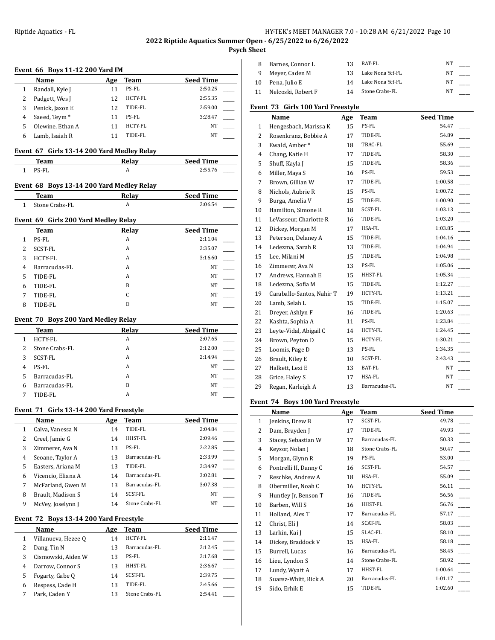**Psych Sheet**

|                | Event 66 Boys 11-12 200 Yard IM            |          |                           |                    |  |
|----------------|--------------------------------------------|----------|---------------------------|--------------------|--|
|                | Name                                       | Age      | Team                      | <b>Seed Time</b>   |  |
| 1              | Randall, Kyle J                            | 11       | PS-FL                     | 2:50.25            |  |
| 2              | Padgett, Wes J                             | 12       | HCTY-FL                   | 2:55.35            |  |
| 3              | Penick, Jaxon E                            | 12       | TIDE-FL                   | 2:59.00            |  |
| 4              | Saeed, Teym <sup>*</sup>                   | 11       | PS-FL                     | 3:28.47            |  |
| 5              | Olewine, Ethan A                           | 11       | HCTY-FL                   | NT                 |  |
| 6              | Lamb, Isaiah R                             | 11       | TIDE-FL                   | NT                 |  |
|                | Event 67 Girls 13-14 200 Yard Medley Relay |          |                           |                    |  |
|                | <b>Team</b>                                |          | Relay                     | <b>Seed Time</b>   |  |
| 1              | PS-FL                                      |          | A                         | 2:55.76            |  |
|                | Event 68 Boys 13-14 200 Yard Medley Relay  |          |                           |                    |  |
|                | Team                                       |          | Relay                     | <b>Seed Time</b>   |  |
| 1              | Stone Crabs-FL                             |          | A                         | 2:06.54            |  |
|                | Event 69 Girls 200 Yard Medley Relay       |          |                           |                    |  |
|                | Team                                       |          | Relay                     | <b>Seed Time</b>   |  |
| 1              | PS-FL                                      |          | A                         | 2:11.04            |  |
| 2              | SCST-FL                                    |          | A                         | 2:35.07            |  |
| 3              | <b>HCTY-FL</b>                             |          | A                         | 3:16.60            |  |
| $\overline{4}$ | Barracudas-FL                              |          | A                         | NT                 |  |
| 5              | TIDE-FL                                    |          | A                         | NT                 |  |
| 6              | TIDE-FL                                    |          | B                         | NT                 |  |
| 7              | TIDE-FL                                    |          | C                         | NT                 |  |
| 8              | TIDE-FL                                    |          | D                         | NT                 |  |
|                | Event 70 Boys 200 Yard Medley Relay        |          |                           |                    |  |
|                | Team                                       |          | Relay                     | <b>Seed Time</b>   |  |
| $\mathbf{1}$   | <b>HCTY-FL</b>                             |          | A                         | 2:07.65            |  |
| 2              | Stone Crabs-FL                             |          | A                         | 2:12.00            |  |
| 3              | SCST-FL                                    |          | A                         | 2:14.94            |  |
| 4              | PS-FL                                      |          | A                         | NT                 |  |
| 5              | Barracudas-FL                              |          | A                         | NT                 |  |
| 6              | Barracudas-FL                              |          | B                         | NT                 |  |
| 7              | TIDE-FL                                    |          | A                         | NT                 |  |
|                |                                            |          |                           |                    |  |
|                | Event 71 Girls 13-14 200 Yard Freestyle    |          | Team                      | Seed Time          |  |
|                | Name                                       | Age      | TIDE-FL                   | 2:04.84            |  |
| 1<br>2         | Calva, Vanessa N<br>Creel, Jamie G         | 14<br>14 | HHST-FL                   | 2:09.46            |  |
| 3              | Zimmerer, Ava N                            | 13       | PS-FL                     | 2:22.85            |  |
| 4              | Seoane, Taylor A                           |          | Barracudas-FL             | 2:33.99            |  |
|                |                                            | 13       | TIDE-FL                   | 2:34.97            |  |
| 5              | Easters, Ariana M                          | 13       |                           |                    |  |
| 6              | Vicencio, Eliana A                         | 14       | Barracudas-FL             | 3:02.81            |  |
| 7              | McFarland, Gwen M                          | 13       | Barracudas-FL             | 3:07.38            |  |
| 8<br>9         | Brault, Madison S<br>McVey, Joselynn J     | 14<br>14 | SCST-FL<br>Stone Crabs-FL | NΤ<br>ΝT           |  |
|                |                                            |          |                           |                    |  |
|                | Event 72 Boys 13-14 200 Yard Freestyle     |          |                           |                    |  |
|                | Name                                       | Age      | Team                      | <b>Seed Time</b>   |  |
| 1              | Villanueva, Hezee Q                        | 14       | HCTY-FL                   | 2:11.47            |  |
| $\overline{c}$ | Dang, Tin N                                | 13       | Barracudas-FL             | 2:12.45            |  |
| 3              | Cismowski, Aiden W                         | 13       | PS-FL                     | 2:17.68<br>2:36.67 |  |
| 4              | Darrow, Connor S                           | 13       | HHST-FL                   |                    |  |

 Fogarty, Gabe Q 14 SCST-FL 2:39.75 \_\_\_\_\_ 6 Respess, Cade H 13 TIDE-FL 2:45.66 7 Park, Caden Y 13 Stone Crabs-FL 2:54.41

|    | Barnes, Connor L   | 13 | BAT-FL           | NΤ |  |
|----|--------------------|----|------------------|----|--|
|    | Mever, Caden M     | 13 | Lake Nona Ycf-FL | NT |  |
| 10 | Pena, Julio E      | 14 | Lake Nona Ycf-FL | NT |  |
| 11 | Nelcoski, Robert F | 14 | Stone Crabs-FL   | NΤ |  |

# **Event 73 Girls 100 Yard Freestyle**

|                | Name                      | Age | <b>Team</b>   | <b>Seed Time</b> |
|----------------|---------------------------|-----|---------------|------------------|
| 1              | Hengesbach, Marissa K     | 15  | PS-FL         | 54.47            |
| 2              | Rosenkranz, Bobbie A      | 17  | TIDE-FL       | 54.89            |
| 3              | Ewald, Amber*             | 18  | TBAC-FL       | 55.69            |
| $\overline{4}$ | Chang, Katie H            | 17  | TIDE-FL       | 58.30            |
| 5              | Shuff, Kayla J            | 15  | TIDE-FL       | 58.36            |
| 6              | Miller, Maya S            | 16  | PS-FL         | 59.53            |
| 7              | Brown, Gillian W          | 17  | TIDE-FL       | 1:00.58          |
| 8              | Nichols, Aubrie R         | 15  | PS-FL         | 1:00.72          |
| 9              | Burga, Amelia V           | 15  | TIDE-FL       | 1:00.90          |
| 10             | Hamilton, Simone R        | 18  | SCST-FL       | 1:03.13          |
| 11             | LeVasseur, Charlotte R    | 16  | TIDE-FL       | 1:03.20          |
| 12             | Dickey, Morgan M          | 17  | HSA-FL        | 1:03.85          |
| 13             | Peterson, Delaney A       | 15  | TIDE-FL       | 1:04.16          |
| 14             | Ledezma, Sarah R          | 13  | TIDE-FL       | 1:04.94          |
| 15             | Lee, Milani M             | 15  | TIDE-FL       | 1:04.98          |
| 16             | Zimmerer, Ava N           | 13  | PS-FL         | 1:05.06          |
| 17             | Andrews, Hannah E         | 15  | HHST-FL       | 1:05.34          |
| 18             | Ledezma, Sofia M          | 15  | TIDE-FL       | 1:12.27          |
| 19             | Caraballo-Santos, Nahir T | 19  | HCTY-FL       | 1:13.21          |
| 20             | Lamb, Selah L             | 15  | TIDE-FL       | 1:15.07          |
| 21             | Dreyer, Ashlyn F          | 16  | TIDE-FL       | 1:20.63          |
| 22             | Kashta, Sophia A          | 11  | PS-FL         | 1:23.84          |
| 23             | Leyte-Vidal, Abigail C    | 14  | HCTY-FL       | 1:24.45          |
| 24             | Brown, Peyton D           | 15  | HCTY-FL       | 1:30.21          |
| 25             | Loomis, Page D            | 13  | PS-FL         | 1:34.35          |
| 26             | Brault, Kiley E           | 10  | SCST-FL       | 2:43.43          |
| 27             | Halkett, Lexi E           | 13  | BAT-FL        | NT               |
| 28             | Grice, Haley S            | 17  | HSA-FL        | NT               |
| 29             | Regan, Karleigh A         | 13  | Barracudas-FL | <b>NT</b>        |

# **Event 74 Boys 100 Yard Freestyle**

|              | Name                  | Age | Team           | <b>Seed Time</b> |
|--------------|-----------------------|-----|----------------|------------------|
| $\mathbf{1}$ | Jenkins, Drew B       | 17  | SCST-FL        | 49.78            |
| 2            | Dam, Brayden J        | 17  | TIDE-FL        | 49.93            |
| 3            | Stacey, Sebastian W   | 17  | Barracudas-FL  | 50.33            |
| 4            | Keysor, Nolan J       | 18  | Stone Crabs-FL | 50.47            |
| 5            | Morgan, Glynn R       | 19  | PS-FL          | 53.00            |
| 6            | Pontrelli II, Danny C | 16  | SCST-FL        | 54.57            |
| 7            | Reschke, Andrew A     | 18  | HSA-FL         | 55.09            |
| 8            | Obermiller, Noah C    | 16  | HCTY-FL        | 56.11            |
| 9            | Huntley Jr, Benson T  | 16  | TIDE-FL        | 56.56            |
| 10           | Barben, Will S        | 16  | HHST-FL        | 56.76            |
| 11           | Holland, Alex T       | 17  | Barracudas-FL  | 57.17            |
| 12           | Christ, Eli J         | 14  | SCAT-FL        | 58.03            |
| 13           | Larkin, Kai J         | 15  | SLAC-FL        | 58.10            |
| 14           | Dickey, Braddock V    | 15  | HSA-FL         | 58.18            |
| 15           | Burrell, Lucas        | 16  | Barracudas-FL  | 58.45            |
| 16           | Lieu, Lyndon S        | 14  | Stone Crabs-FL | 58.92            |
| 17           | Lundy, Wyatt A        | 17  | HHST-FL        | 1:00.64          |
| 18           | Suarez-Whitt, Rick A  | 20  | Barracudas-FL  | 1:01.17          |
| 19           | Sido, Erhik E         | 15  | TIDE-FL        | 1:02.60          |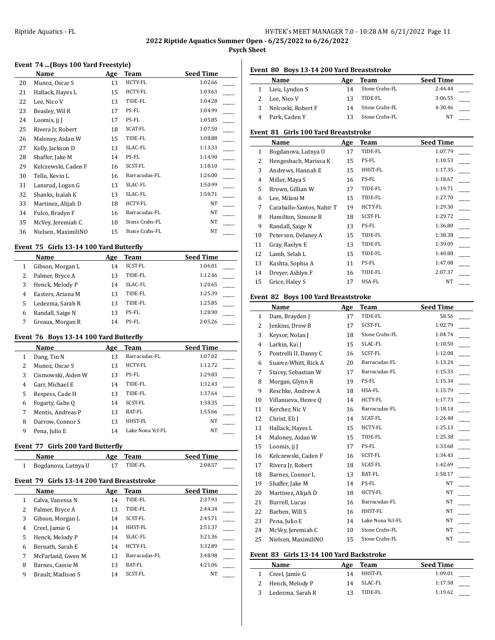**2022 Riptide Aquatics Summer Open - 6/25/2022 to 6/26/2022**

**Psych Sheet**

l,

# **Event 74 ...(Boys 100 Yard Freestyle)**

|    | Name                | Age | <b>Team</b>    | <b>Seed Time</b> |
|----|---------------------|-----|----------------|------------------|
| 20 | Munoz, Oscar S      | 13  | HCTY-FL        | 1:02.66          |
| 21 | Hallack, Hayes L    | 15  | HCTY-FL        | 1:03.63          |
| 22 | Lee, Nico V         | 13  | TIDE-FL        | 1:04.28          |
| 23 | Beasley, Wil R      | 17  | PS-FL          | 1:04.99          |
| 24 | Loomis, jj J        | 17  | PS-FL          | 1:05.85          |
| 25 | Rivera Jr, Robert   | 18  | SCAT-FL        | 1:07.50          |
| 26 | Maloney, Aidan W    | 15  | TIDE-FL        | 1:08.88          |
| 27 | Kelly, Jackson D    | 13  | SLAC-FL        | 1:13.33          |
| 28 | Shaffer, Jake M     | 14  | PS-FL          | 1:14.90          |
| 29 | Kelczewski, Caden F | 16  | SCST-FL        | 1:18.10          |
| 30 | Tello, Kevin L      | 16  | Barracudas-FL  | 1:26.00          |
| 31 | Lansrud, Logan G    | 13  | SLAC-FL        | 1:50.99          |
| 32 | Shanks, Isaiah K    | 13  | SLAC-FL        | 1:58.71          |
| 33 | Martinez, Alijah D  | 18  | HCTY-FL        | NT               |
| 34 | Fulco, Bradyn F     | 16  | Barracudas-FL  | NT               |
| 35 | McVey, Jeremiah C   | 10  | Stone Crabs-FL | NT               |
| 36 | Nielsen, MaximiliNO | 15  | Stone Crabs-FL | NT               |

#### **Event 75 Girls 13-14 100 Yard Butterfly**

 $\overline{a}$ 

|   | Name              | Age | Team    | <b>Seed Time</b> |
|---|-------------------|-----|---------|------------------|
|   | Gibson, Morgan L  | 14  | SCST-FL | 1:06.01          |
|   | Palmer, Bryce A   | 13  | TIDE-FL | 1:12.46          |
| 3 | Henck, Melody P   | 14  | SLAC-FL | 1:20.65          |
| 4 | Easters, Ariana M | 13  | TIDE-FL | 1:25.39          |
|   | Ledezma, Sarah R  | 13  | TIDE-FL | 1:25.85          |
| 6 | Randall, Saige N  | 13  | PS-FL   | 1:28.90          |
|   | Greaux, Morgan R  | 14  | PS-FL   | 2:05.26          |

#### **Event 76 Boys 13-14 100 Yard Butterfly**

|   | Name               | Age | <b>Team</b>      | <b>Seed Time</b> |
|---|--------------------|-----|------------------|------------------|
| 1 | Dang, Tin N        | 13  | Barracudas-FL    | 1:07.02          |
| 2 | Munoz, Oscar S     | 13  | <b>HCTY-FL</b>   | 1:12.72          |
| 3 | Cismowski, Aiden W | 13  | PS-FL            | 1:29.83          |
| 4 | Garr, Michael E    | 14  | TIDE-FL          | 1:32.43          |
| 5 | Respess, Cade H    | 13  | TIDE-FL          | 1:37.64          |
| 6 | Fogarty, Gabe Q    | 14  | SCST-FL          | 1:38.35          |
| 7 | Mentis, Andreas P  | 13  | BAT-FL           | 1:55.66          |
| 8 | Darrow, Connor S   | 13  | HHST-FL          | NT               |
| 9 | Pena, Julio E      | 14  | Lake Nona Ycf-FL | NT               |

### **Event 77 Girls 200 Yard Butterfly**

| Name                | Aøe | Team    | <b>Seed Time</b> |
|---------------------|-----|---------|------------------|
| Bogdanova, Lutnya U |     | "IDE-FL | 2:08.57          |

### **Event 79 Girls 13-14 200 Yard Breaststroke**

|   | Name              | Age | Team           | <b>Seed Time</b> |
|---|-------------------|-----|----------------|------------------|
| 1 | Calva, Vanessa N  | 14  | TIDE-FL        | 2:37.93          |
| 2 | Palmer, Bryce A   | 13  | TIDE-FL        | 2:44.34          |
| 3 | Gibson, Morgan L  | 14  | SCST-FL        | 2:45.71          |
| 4 | Creel, Jamie G    | 14  | HHST-FL        | 2:51.37          |
| 5 | Henck, Melody P   | 14  | SLAC-FL        | 3:21.36          |
| 6 | Bernath, Sarah E  | 14  | HCTY-FL        | 3:32.89          |
| 7 | McFarland, Gwen M | 13  | Barracudas-FL  | 3:48.98          |
| 8 | Barnes, Cassie M  | 13  | BAT-FL         | 4:21.06          |
| 9 | Brault, Madison S | 14  | <b>SCST-FL</b> | NT               |

### **Event 80 Boys 13-14 200 Yard Breaststroke**

|   | Name               | Age | Team           | <b>Seed Time</b> |  |
|---|--------------------|-----|----------------|------------------|--|
|   | 1 Lieu, Lyndon S   | 14  | Stone Crabs-FL | 2:44.44          |  |
|   | Lee, Nico V        | 13  | TIDE-FL        | 3:06.55          |  |
| 3 | Nelcoski, Robert F | 14  | Stone Crabs-FL | 4:30.46          |  |
|   | 4 Park, Caden Y    |     | Stone Crabs-FL | NΤ               |  |
|   |                    |     |                |                  |  |

### **Event 81 Girls 100 Yard Breaststroke**

|              | Name                      | Age | Team           | <b>Seed Time</b> |
|--------------|---------------------------|-----|----------------|------------------|
| $\mathbf{1}$ | Bogdanova, Lutnya U       | 17  | TIDE-FL        | 1:07.79          |
| 2            | Hengesbach, Marissa K     | 15  | PS-FL          | 1:10.53          |
| 3            | Andrews, Hannah E         | 15  | HHST-FL        | 1:17.35          |
| 4            | Miller, Maya S            | 16  | PS-FL          | 1:18.67          |
| 5            | Brown, Gillian W          | 17  | TIDE-FL        | 1:19.71          |
| 6            | Lee, Milani M             | 15  | TIDE-FL        | 1:27.70          |
| 7            | Caraballo-Santos, Nahir T | 19  | <b>HCTY-FL</b> | 1:29.30          |
| 8            | Hamilton, Simone R        | 18  | SCST-FL        | 1:29.72          |
| 9            | Randall, Saige N          | 13  | PS-FL          | 1:36.80          |
| 10           | Peterson, Delaney A       | 15  | TIDE-FL        | 1:38.38          |
| 11           | Gray, Raelyn E            | 13  | TIDE-FL        | 1:39.09          |
| 12           | Lamb, Selah L             | 15  | TIDE-FL        | 1:40.88          |
| 13           | Kashta, Sophia A          | 11  | PS-FL          | 1:47.08          |
| 14           | Drever, Ashlyn F          | 16  | TIDE-FL        | 2:07.37          |
| 15           | Grice, Haley S            | 17  | HSA-FL         | <b>NT</b>        |

### **Event 82 Boys 100 Yard Breaststroke**

|              | Name                  | Age | Team             | <b>Seed Time</b> |
|--------------|-----------------------|-----|------------------|------------------|
| $\mathbf{1}$ | Dam, Brayden J        | 17  | TIDE-FL          | 58.56            |
| 2            | Jenkins, Drew B       | 17  | SCST-FL          | 1:02.79          |
| 3            | Keysor, Nolan J       | 18  | Stone Crabs-FL   | 1:04.74          |
| 4            | Larkin, Kai J         | 15  | SLAC-FL          | 1:10.50          |
| 5            | Pontrelli II, Danny C | 16  | SCST-FL          | 1:12.08          |
| 6            | Suarez-Whitt, Rick A  | 20  | Barracudas-FL    | 1:13.24          |
| 7            | Stacey, Sebastian W   | 17  | Barracudas-FL    | 1:15.33          |
| 8            | Morgan, Glynn R       | 19  | PS-FL            | 1:15.34          |
| 9            | Reschke, Andrew A     | 18  | HSA-FL           | 1:15.79          |
| 10           | Villanueva, Hezee O   | 14  | HCTY-FL          | 1:17.73          |
| 11           | Kercher, Nic V        | 16  | Barracudas-FL    | 1:18.14          |
| 12           | Christ, Eli J         | 14  | SCAT-FL          | 1:24.48          |
| 13           | Hallack, Hayes L      | 15  | HCTY-FL          | 1:25.13          |
| 14           | Maloney, Aidan W      | 15  | TIDE-FL          | 1:25.38          |
| 15           | Loomis, ji J          | 17  | PS-FL            | 1:33.68          |
| 16           | Kelczewski, Caden F   | 16  | SCST-FL          | 1:34.43          |
| 17           | Rivera Jr, Robert     | 18  | SCAT-FL          | 1:42.69          |
| 18           | Barnes, Connor L      | 13  | BAT-FL           | 1:58.17          |
| 19           | Shaffer, Jake M       | 14  | PS-FL            | <b>NT</b>        |
| 20           | Martinez, Alijah D    | 18  | HCTY-FL          | NT               |
| 21           | Burrell, Lucas        | 16  | Barracudas-FL    | NT               |
| 22           | Barben, Will S        | 16  | HHST-FL          | NT               |
| 23           | Pena, Julio E         | 14  | Lake Nona Ycf-FL | NT               |
| 24           | McVey, Jeremiah C     | 10  | Stone Crabs-FL   | NT               |
| 25           | Nielsen, MaximiliNO   | 15  | Stone Crabs-FL   | NT               |

#### **Event 83 Girls 13-14 100 Yard Backstroke**

| <b>Name</b>       | Age | <b>Team</b> | <b>Seed Time</b> |
|-------------------|-----|-------------|------------------|
| 1 Creel, Jamie G  | 14  | HHST-FL     | 1:09.01          |
| 2 Henck, Melody P | 14  | SLAC-FL     | 1:17.58          |
| Ledezma, Sarah R  | 13  | TIDE-FL     | 1:19.62          |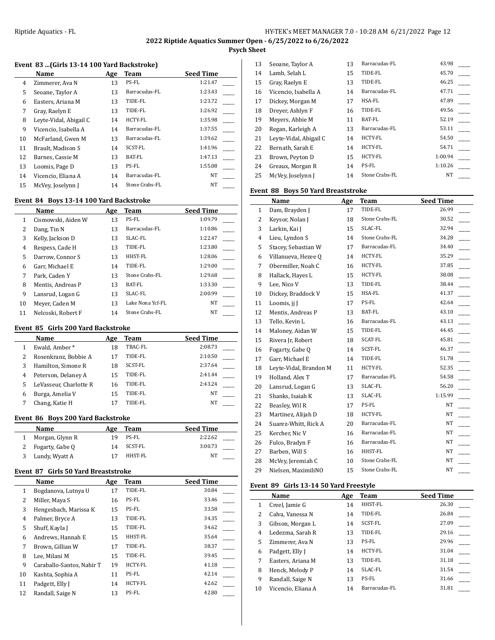**Psych Sheet**

# **Event 83 ...(Girls 13-14 100 Yard Backstroke)**

| Name                   | Age | Team           | <b>Seed Time</b> |
|------------------------|-----|----------------|------------------|
| Zimmerer, Ava N        | 13  | PS-FL          | 1:21.47          |
| Seoane, Taylor A       | 13  | Barracudas-FL  | 1:23.43          |
| Easters, Ariana M      | 13  | TIDE-FL        | 1:23.72          |
| Gray, Raelyn E         | 13  | TIDE-FL        | 1:26.92          |
| Leyte-Vidal, Abigail C | 14  | HCTY-FL        | 1:35.98          |
| Vicencio, Isabella A   | 14  | Barracudas-FL  | 1:37.55          |
| McFarland, Gwen M      | 13  | Barracudas-FL  | 1:39.62          |
| Brault, Madison S      | 14  | SCST-FL        | 1:41.96          |
| Barnes, Cassie M       | 13  | BAT-FL         | 1:47.13          |
| Loomis, Page D         | 13  | PS-FL          | 1:55.08          |
| Vicencio, Eliana A     | 14  | Barracudas-FL  | <b>NT</b>        |
| McVey, Joselynn J      | 14  | Stone Crabs-FL | <b>NT</b>        |
|                        |     |                |                  |

## **Event 84 Boys 13-14 100 Yard Backstroke**

|    | Name               | Age | Team             | <b>Seed Time</b> |
|----|--------------------|-----|------------------|------------------|
| 1  | Cismowski, Aiden W | 13  | PS-FL            | 1:09.79          |
| 2  | Dang, Tin N        | 13  | Barracudas-FL    | 1:10.86          |
| 3  | Kelly, Jackson D   | 13  | SLAC-FL          | 1:22.47          |
| 4  | Respess, Cade H    | 13  | TIDE-FL          | 1:23.80          |
| 5  | Darrow, Connor S   | 13  | HHST-FL          | 1:28.06          |
| 6  | Garr. Michael E    | 14  | TIDE-FL          | 1:29.00          |
| 7  | Park, Caden Y      | 13  | Stone Crabs-FL   | 1:29.68          |
| 8  | Mentis, Andreas P  | 13  | BAT-FL           | 1:33.30          |
| 9  | Lansrud, Logan G   | 13  | SLAC-FL          | 2:00.99          |
| 10 | Meyer, Caden M     | 13  | Lake Nona Ycf-FL | NT               |
| 11 | Nelcoski, Robert F | 14  | Stone Crabs-FL   | NT               |

#### **Event 85 Girls 200 Yard Backstroke**

| Name                   | Age | Team    | <b>Seed Time</b> |
|------------------------|-----|---------|------------------|
| Ewald, Amber*          | 18  | TBAC-FL | 2:08.73          |
| Rosenkranz, Bobbie A   | 17  | TIDE-FL | 2:10.50          |
| Hamilton, Simone R     | 18  | SCST-FL | 2:37.64          |
| Peterson, Delaney A    | 15  | TIDE-FL | 2:41.44          |
| LeVasseur, Charlotte R | 16  | TIDE-FL | 2:43.24          |
| Burga, Amelia V        | 15  | TIDE-FL | NT               |
| Chang, Katie H         |     | TIDE-FL | NT               |
|                        |     |         |                  |

### **Event 86 Boys 200 Yard Backstroke**

| Name            | Age | Team    | <b>Seed Time</b> |  |
|-----------------|-----|---------|------------------|--|
| Morgan, Glynn R | 1 Q | PS-FL   | 2:22.62          |  |
| Fogarty, Gabe O | 14  | SCST-FL | 3:00.73          |  |
| Lundy, Wyatt A  |     | HHST-FL | NT               |  |

### **Event 87 Girls 50 Yard Breaststroke**

 $\overline{a}$ 

|                | Name                      | Age | Team           | <b>Seed Time</b> |
|----------------|---------------------------|-----|----------------|------------------|
| 1              | Bogdanova, Lutnya U       | 17  | TIDE-FL        | 30.84            |
| 2              | Miller, Maya S            | 16  | PS-FL          | 33.46            |
| 3              | Hengesbach, Marissa K     | 15  | PS-FL          | 33.58            |
| $\overline{4}$ | Palmer, Bryce A           | 13  | TIDE-FL        | 34.35            |
| 5              | Shuff, Kayla J            | 15  | TIDE-FL        | 34.62            |
| 6              | Andrews, Hannah E         | 15  | HHST-FL        | 35.64            |
| 7              | Brown, Gillian W          | 17  | TIDE-FL        | 38.37            |
| 8              | Lee, Milani M             | 15  | TIDE-FL        | 39.45            |
| 9              | Caraballo-Santos, Nahir T | 19  | <b>HCTY-FL</b> | 41.18            |
| 10             | Kashta, Sophia A          | 11  | PS-FL          | 42.14            |
| 11             | Padgett, Elly J           | 14  | <b>HCTY-FL</b> | 42.62            |
| 12             | Randall, Saige N          | 13  | PS-FL          | 42.80            |

| 13 | Seoane, Taylor A       | 13 | Barracudas-FL  | 43.98     |  |
|----|------------------------|----|----------------|-----------|--|
| 14 | Lamb, Selah L          | 15 | TIDE-FL        | 45.70     |  |
| 15 | Gray, Raelyn E         | 13 | TIDE-FL        | 46.25     |  |
| 16 | Vicencio, Isabella A   | 14 | Barracudas-FL  | 47.71     |  |
| 17 | Dickey, Morgan M       | 17 | HSA-FL         | 47.89     |  |
| 18 | Drever, Ashlyn F       | 16 | TIDE-FL        | 49.56     |  |
| 19 | Meyers, Abbie M        | 11 | <b>BAT-FL</b>  | 52.19     |  |
| 20 | Regan, Karleigh A      | 13 | Barracudas-FL  | 53.11     |  |
| 21 | Leyte-Vidal, Abigail C | 14 | <b>HCTY-FL</b> | 54.50     |  |
| 22 | Bernath, Sarah E       | 14 | <b>HCTY-FL</b> | 54.71     |  |
| 23 | Brown, Peyton D        | 15 | <b>HCTY-FL</b> | 1:00.94   |  |
| 24 | Greaux, Morgan R       | 14 | PS-FL          | 1:10.26   |  |
| 25 | McVey, Joselynn J      | 14 | Stone Crabs-FL | <b>NT</b> |  |

## **Event 88 Boys 50 Yard Breaststroke**

|                | Name                   | Age | Team           | <b>Seed Time</b> |
|----------------|------------------------|-----|----------------|------------------|
| $\mathbf{1}$   | Dam, Brayden J         | 17  | TIDE-FL        | 26.99            |
| 2              | Keysor, Nolan J        | 18  | Stone Crabs-FL | 30.52            |
| 3              | Larkin, Kai J          | 15  | SLAC-FL        | 32.94            |
| $\overline{4}$ | Lieu, Lyndon S         | 14  | Stone Crabs-FL | 34.28            |
| 5              | Stacey, Sebastian W    | 17  | Barracudas-FL  | 34.40            |
| 6              | Villanueva, Hezee Q    | 14  | HCTY-FL        | 35.29            |
| 7              | Obermiller, Noah C     | 16  | HCTY-FL        | 37.85            |
| 8              | Hallack, Hayes L       | 15  | HCTY-FL        | 38.08            |
| 9              | Lee, Nico V            | 13  | TIDE-FL        | 38.44            |
| 10             | Dickey, Braddock V     | 15  | HSA-FL         | 41.37            |
| 11             | Loomis, ji J           | 17  | PS-FL          | 42.64            |
| 12             | Mentis, Andreas P      | 13  | BAT-FL         | 43.10            |
| 13             | Tello, Kevin L         | 16  | Barracudas-FL  | 43.13            |
| 14             | Maloney, Aidan W       | 15  | TIDE-FL        | 44.45            |
| 15             | Rivera Jr, Robert      | 18  | SCAT-FL        | 45.81            |
| 16             | Fogarty, Gabe O        | 14  | SCST-FL        | 46.37            |
| 17             | Garr, Michael E        | 14  | TIDE-FL        | 51.78            |
| 18             | Leyte-Vidal, Brandon M | 11  | HCTY-FL        | 52.35            |
| 19             | Holland, Alex T        | 17  | Barracudas-FL  | 54.58            |
| 20             | Lansrud, Logan G       | 13  | SLAC-FL        | 56.20            |
| 21             | Shanks, Isaiah K       | 13  | SLAC-FL        | 1:15.99          |
| 22             | Beasley, Wil R         | 17  | PS-FL          | NT               |
| 23             | Martinez, Alijah D     | 18  | <b>HCTY-FL</b> | NT               |
| 24             | Suarez-Whitt, Rick A   | 20  | Barracudas-FL  | NT               |
| 25             | Kercher, Nic V         | 16  | Barracudas-FL  | NT               |
| 26             | Fulco, Bradyn F        | 16  | Barracudas-FL  | NT               |
| 27             | Barben, Will S         | 16  | HHST-FL        | NT               |
| 28             | McVey, Jeremiah C      | 10  | Stone Crabs-FL | NT               |
| 29             | Nielsen, MaximiliNO    | 15  | Stone Crabs-FL | NT               |

#### **Event 89 Girls 13-14 50 Yard Freestyle**

|    | Name               | Age | <b>Team</b>    | <b>Seed Time</b> |
|----|--------------------|-----|----------------|------------------|
| 1  | Creel, Jamie G     | 14  | HHST-FL        | 26.30            |
| 2  | Calva, Vanessa N   | 14  | TIDE-FL        | 26.84            |
| 3  | Gibson, Morgan L   | 14  | SCST-FL        | 27.09            |
| 4  | Ledezma, Sarah R   | 13  | TIDE-FL        | 29.16            |
| 5  | Zimmerer, Ava N    | 13  | PS-FL          | 29.96            |
| 6  | Padgett, Elly J    | 14  | <b>HCTY-FL</b> | 31.04            |
| 7  | Easters, Ariana M  | 13  | TIDE-FL        | 31.18            |
| 8  | Henck, Melody P    | 14  | SLAC-FL        | 31.54            |
| 9  | Randall, Saige N   | 13  | PS-FL          | 31.66            |
| 10 | Vicencio, Eliana A | 14  | Barracudas-FL  | 31.81            |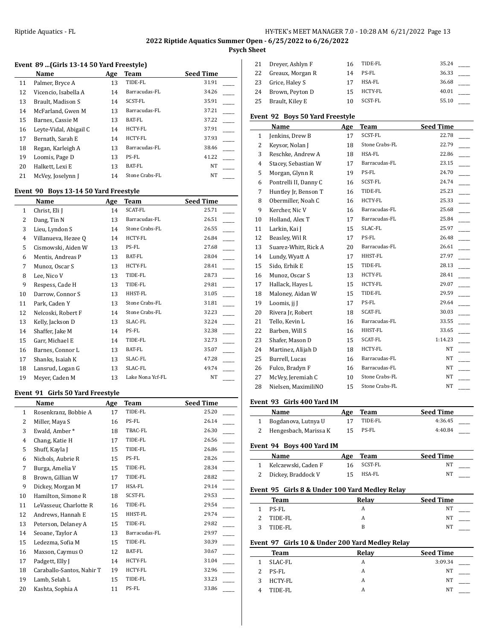# **2022 Riptide Aquatics Summer Open - 6/25/2022 to 6/26/2022**

**Psych Sheet**

# **Event 89 ...(Girls 13-14 50 Yard Freestyle)**

|    | Name                   | Age | Team           | <b>Seed Time</b> |
|----|------------------------|-----|----------------|------------------|
| 11 | Palmer, Bryce A        | 13  | TIDE-FL        | 31.91            |
| 12 | Vicencio, Isabella A   | 14  | Barracudas-FL  | 34.26            |
| 13 | Brault, Madison S      | 14  | SCST-FL        | 35.91            |
| 14 | McFarland, Gwen M      | 13  | Barracudas-FL  | 37.21            |
| 15 | Barnes, Cassie M       | 13  | BAT-FL         | 37.22            |
| 16 | Leyte-Vidal, Abigail C | 14  | <b>HCTY-FL</b> | 37.91            |
| 17 | Bernath, Sarah E       | 14  | <b>HCTY-FL</b> | 37.93            |
| 18 | Regan, Karleigh A      | 13  | Barracudas-FL  | 38.46            |
| 19 | Loomis, Page D         | 13  | PS-FL          | 41.22            |
| 20 | Halkett, Lexi E        | 13  | <b>BAT-FL</b>  | <b>NT</b>        |
| 21 | McVey, Joselynn J      | 14  | Stone Crabs-FL | NT               |

# **Event 90 Boys 13-14 50 Yard Freestyle**

|                | Name                | Age | Team             | <b>Seed Time</b> |
|----------------|---------------------|-----|------------------|------------------|
| 1              | Christ, Eli J       | 14  | SCAT-FL          | 25.71            |
| 2              | Dang, Tin N         | 13  | Barracudas-FL    | 26.51            |
| 3              | Lieu, Lyndon S      | 14  | Stone Crabs-FL   | 26.55            |
| $\overline{4}$ | Villanueva, Hezee Q | 14  | HCTY-FL          | 26.84            |
| 5              | Cismowski, Aiden W  | 13  | PS-FL            | 27.68            |
| 6              | Mentis, Andreas P   | 13  | BAT-FL           | 28.04            |
| 7              | Munoz, Oscar S      | 13  | HCTY-FL          | 28.41            |
| 8              | Lee, Nico V         | 13  | TIDE-FL          | 28.73            |
| 9              | Respess, Cade H     | 13  | TIDE-FL          | 29.81            |
| 10             | Darrow, Connor S    | 13  | HHST-FL          | 31.05            |
| 11             | Park, Caden Y       | 13  | Stone Crabs-FL   | 31.81            |
| 12             | Nelcoski, Robert F  | 14  | Stone Crabs-FL   | 32.23            |
| 13             | Kelly, Jackson D    | 13  | SLAC-FL          | 32.24            |
| 14             | Shaffer, Jake M     | 14  | PS-FL            | 32.38            |
| 15             | Garr, Michael E     | 14  | TIDE-FL          | 32.73            |
| 16             | Barnes, Connor L    | 13  | <b>BAT-FL</b>    | 35.07            |
| 17             | Shanks, Isaiah K    | 13  | SLAC-FL          | 47.28            |
| 18             | Lansrud, Logan G    | 13  | SLAC-FL          | 49.74            |
| 19             | Meyer, Caden M      | 13  | Lake Nona Ycf-FL | NT               |

#### **Event 91 Girls 50 Yard Freestyle**

|    | Name                      | Age | Team          | <b>Seed Time</b> |
|----|---------------------------|-----|---------------|------------------|
| 1  | Rosenkranz, Bobbie A      | 17  | TIDE-FL       | 25.20            |
| 2  | Miller, Maya S            | 16  | PS-FL         | 26.14            |
| 3  | Ewald, Amber*             | 18  | TBAC-FL       | 26.30            |
| 4  | Chang, Katie H            | 17  | TIDE-FL       | 26.56            |
| 5  | Shuff, Kayla J            | 15  | TIDE-FL       | 26.86            |
| 6  | Nichols, Aubrie R         | 15  | PS-FL         | 28.26            |
| 7  | Burga, Amelia V           | 15  | TIDE-FL       | 28.34            |
| 8  | Brown, Gillian W          | 17  | TIDE-FL       | 28.82            |
| 9  | Dickey, Morgan M          | 17  | HSA-FL        | 29.14            |
| 10 | Hamilton, Simone R        | 18  | SCST-FL       | 29.53            |
| 11 | LeVasseur, Charlotte R    | 16  | TIDE-FL       | 29.54            |
| 12 | Andrews, Hannah E         | 15  | HHST-FL       | 29.74            |
| 13 | Peterson, Delaney A       | 15  | TIDE-FL       | 29.82            |
| 14 | Seoane, Taylor A          | 13  | Barracudas-FL | 29.97            |
| 15 | Ledezma, Sofia M          | 15  | TIDE-FL       | 30.39            |
| 16 | Maxson, Caymus O          | 12  | BAT-FL        | 30.67            |
| 17 | Padgett, Elly J           | 14  | HCTY-FL       | 31.04            |
| 18 | Caraballo-Santos, Nahir T | 19  | HCTY-FL       | 32.96            |
| 19 | Lamb, Selah L             | 15  | TIDE-FL       | 33.23            |
| 20 | Kashta, Sophia A          | 11  | PS-FL         | 33.86            |

| 21 | Drever, Ashlyn F | 16 | TIDE-FL | 35.24 |  |
|----|------------------|----|---------|-------|--|
| 22 | Greaux, Morgan R | 14 | PS-FL   | 36.33 |  |
| 23 | Grice, Haley S   | 17 | HSA-FL  | 36.68 |  |
| 24 | Brown, Peyton D  | 15 | HCTY-FL | 40.01 |  |
| 25 | Brault, Kiley E  | 10 | SCST-FL | 55.10 |  |

### **Event 92 Boys 50 Yard Freestyle**

|                | Name                  | Age | Team           | <b>Seed Time</b> |
|----------------|-----------------------|-----|----------------|------------------|
| 1              | Jenkins, Drew B       | 17  | SCST-FL        | 22.78            |
| 2              | Keysor, Nolan J       | 18  | Stone Crabs-FL | 22.79            |
| 3              | Reschke, Andrew A     | 18  | HSA-FL         | 22.86            |
| $\overline{4}$ | Stacey, Sebastian W   | 17  | Barracudas-FL  | 23.15            |
| 5              | Morgan, Glynn R       | 19  | PS-FL          | 24.70            |
| 6              | Pontrelli II, Danny C | 16  | SCST-FL        | 24.74            |
| 7              | Huntley Jr, Benson T  | 16  | TIDE-FL        | 25.23            |
| 8              | Obermiller, Noah C    | 16  | HCTY-FL        | 25.33            |
| 9              | Kercher, Nic V        | 16  | Barracudas-FL  | 25.68            |
| 10             | Holland, Alex T       | 17  | Barracudas-FL  | 25.84            |
| 11             | Larkin, Kai J         | 15  | SLAC-FL        | 25.97            |
| 12             | Beasley, Wil R        | 17  | PS-FL          | 26.48            |
| 13             | Suarez-Whitt, Rick A  | 20  | Barracudas-FL  | 26.61            |
| 14             | Lundy, Wyatt A        | 17  | HHST-FL        | 27.97            |
| 15             | Sido, Erhik E         | 15  | TIDE-FL        | 28.13            |
| 16             | Munoz, Oscar S        | 13  | HCTY-FL        | 28.41            |
| 17             | Hallack, Hayes L      | 15  | HCTY-FL        | 29.07            |
| 18             | Maloney, Aidan W      | 15  | TIDE-FL        | 29.59            |
| 19             | Loomis, ji J          | 17  | PS-FL          | 29.64            |
| 20             | Rivera Jr, Robert     | 18  | SCAT-FL        | 30.03            |
| 21             | Tello, Kevin L        | 16  | Barracudas-FL  | 33.55            |
| 22             | Barben, Will S        | 16  | HHST-FL        | 33.65            |
| 23             | Shafer, Mason D       | 15  | SCAT-FL        | 1:14.23          |
| 24             | Martinez, Alijah D    | 18  | HCTY-FL        | NT               |
| 25             | Burrell, Lucas        | 16  | Barracudas-FL  | NT               |
| 26             | Fulco, Bradyn F       | 16  | Barracudas-FL  | NT               |
| 27             | McVey, Jeremiah C     | 10  | Stone Crabs-FL | NT               |
| 28             | Nielsen, MaximiliNO   | 15  | Stone Crabs-FL | NT               |

### **Event 93 Girls 400 Yard IM**

| <b>Name</b>             | Age | Team    | <b>Seed Time</b> |
|-------------------------|-----|---------|------------------|
| 1 Bogdanova, Lutnya U   |     | TIDE-FL | 4:36.45          |
| 2 Hengesbach, Marissa K | 15  | PS-FL   | 4:40.84          |

#### **Event 94 Boys 400 Yard IM**

| Name                  | Age Team   | <b>Seed Time</b> |
|-----------------------|------------|------------------|
| 1 Kelczewski, Caden F | 16 SCST-FL | NT               |
| 2 Dickey, Braddock V  | HSA-FL     | NΤ               |

### **Event 95 Girls 8 & Under 100 Yard Medley Relay**

|               | Team    | Relav | <b>Seed Time</b> |
|---------------|---------|-------|------------------|
| 1.            | PS-FL   | A     | NT               |
| $\mathcal{P}$ | TIDE-FL | A     | <b>NT</b>        |
| 2             | TIDE-FL | В     | NT               |

# **Event 97 Girls 10 & Under 200 Yard Medley Relay**

|   | Team    | Relay | <b>Seed Time</b> |
|---|---------|-------|------------------|
|   | SLAC-FL | A     | 3:09.34          |
| 2 | PS-FL   | А     | <b>NT</b>        |
|   | HCTY-FL | А     | NT               |
|   | TIDE-FL | A     | NT               |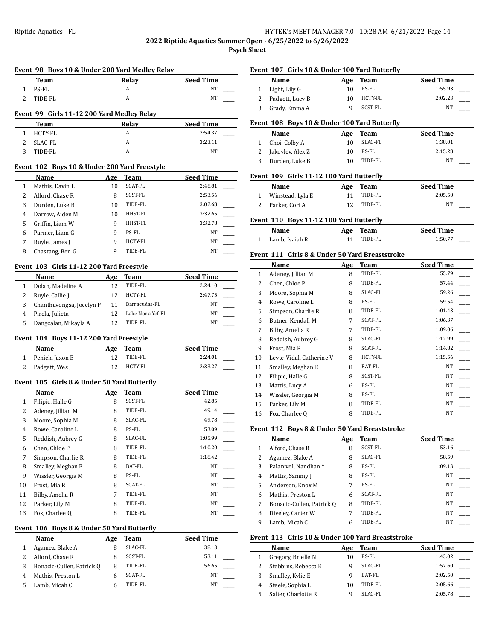**2022 Riptide Aquatics Summer Open - 6/25/2022 to 6/26/2022**

**Psych Sheet**

|                | Team                                         |            | Relay              | <b>Seed Time</b> |
|----------------|----------------------------------------------|------------|--------------------|------------------|
| 1              | PS-FL                                        |            | A                  | NT               |
| 2              | TIDE-FL                                      |            | A                  | NT               |
|                |                                              |            |                    |                  |
|                | Event 99 Girls 11-12 200 Yard Medley Relay   |            |                    |                  |
|                | Team                                         |            | Relay              | Seed Time        |
| 1              | HCTY-FL                                      |            | A                  | 2:54.37          |
| 2              | SLAC-FL                                      |            | A                  | 3:23.11          |
| 3              | TIDE-FL                                      |            | A                  | NT               |
|                | Event 102 Boys 10 & Under 200 Yard Freestyle |            |                    |                  |
|                | Name                                         | Age        | Team               | <b>Seed Time</b> |
| 1              | Mathis, Davin L                              | 10         | <b>SCAT-FL</b>     | 2:46.81          |
| 2              | Alford, Chase R                              | 8          | SCST-FL            | 2:53.56          |
| 3              | Durden, Luke B                               | 10         | TIDE-FL            | 3:02.68          |
| 4              | Darrow, Aiden M                              | 10         | HHST-FL            | 3:32.65          |
| 5              | Griffin, Liam W                              | 9          | HHST-FL            | 3:32.78          |
| 6              | Parmer, Liam G                               | 9          | PS-FL              | NΤ               |
| 7              | Ruyle, James J                               | 9          | <b>HCTY-FL</b>     | NΤ               |
| 8              | Chastang, Ben G                              | 9          | TIDE-FL            | NT               |
|                | Event 103 Girls 11-12 200 Yard Freestyle     |            |                    |                  |
|                | Name                                         | Age        | Team               | <b>Seed Time</b> |
| 1              | Dolan, Madeline A                            | 12         | TIDE-FL            | 2:24.10          |
| 2              | Ruyle, Callie J                              | 12         | HCTY-FL            | 2:47.75          |
| 3              | Chanthavongsa, Jocelyn P                     | 11         | Barracudas-FL      | NΤ               |
| $\overline{4}$ | Pirela, Julieta                              | 12         | Lake Nona Ycf-FL   | NT               |
| 5              | Dangcalan, Mikayla A                         | 12         | TIDE-FL            | NT               |
|                | Event 104 Boys 11-12 200 Yard Freestyle      |            |                    |                  |
|                | Name                                         | <b>Age</b> | Team               | <b>Seed Time</b> |
| 1              | Penick, Jaxon E                              | 12         | TIDE-FL            | 2:24.01          |
| 2              | Padgett, Wes J                               | 12         | HCTY-FL            | 2:33.27          |
|                | Event 105 Girls 8 & Under 50 Yard Butterfly  |            |                    |                  |
|                | Name                                         | Age        | Team               | <b>Seed Time</b> |
| 1              | Filipic, Halle G                             | 8          | SCST-FL            | 42.85            |
| $\overline{2}$ | Adeney, Jillian M                            | 8          | TIDE-FL            | 49.14            |
|                | 3 Moore, Sophia M                            | 8          | SLAC-FL            | 49.78            |
| 4              | Rowe, Caroline L                             | 8          | PS-FL              | 53.09            |
| 5              | Reddish, Aubrey G                            | 8          | SLAC-FL            | 1:05.99          |
| 6              | Chen, Chloe P                                | 8          | TIDE-FL            | 1:10.20          |
| 7              | Simpson, Charlie R                           | 8          | TIDE-FL            | 1:18.42          |
| 8              | Smalley, Meghan E                            | 8          | BAT-FL             | NΤ               |
|                | Wissler, Georgia M                           | 8          | PS-FL              | NΤ               |
|                |                                              | 8          | SCAT-FL            | NΤ               |
| 9              |                                              |            |                    |                  |
| 10             | Frost, Mia R                                 |            |                    |                  |
| 11             | Bilby, Amelia R                              | 7          | TIDE-FL            | NΤ               |
| 12<br>13       | Parker, Lily M<br>Fox, Charlee Q             | 8<br>8     | TIDE-FL<br>TIDE-FL | NΤ<br>NΤ         |
|                |                                              |            |                    |                  |
|                | Event 106 Boys 8 & Under 50 Yard Butterfly   |            |                    |                  |
|                | Name                                         | <b>Age</b> | Team               | <b>Seed Time</b> |
| 1<br>2         | Agamez, Blake A<br>Alford, Chase R           | 8<br>8     | SLAC-FL<br>SCST-FL | 38.13<br>53.11   |

4 Mathis, Preston L 6 SCAT-FL NT 5 Lamb, Micah C 6 TIDE-FL NT

# **Event 107 Girls 10 & Under 100 Yard Butterfly**

| Name              | Age | Team    | <b>Seed Time</b> |  |
|-------------------|-----|---------|------------------|--|
| 1 Light, Lily G   | 10  | PS-FL   | 1:55.93          |  |
| 2 Padgett, Lucy B | 10  | HCTY-FL | 2:02.23          |  |
| 3 Grady, Emma A   |     | SCST-FL | NΤ               |  |

#### **Event 108 Boys 10 & Under 100 Yard Butterfly**

|    | <b>Name</b>        | Age | Team    | <b>Seed Time</b> |  |
|----|--------------------|-----|---------|------------------|--|
|    | 1 Choi, Colby A    | 10  | SLAC-FL | 1:38.01          |  |
|    | 2 Jakovlev, Alex Z | 10  | PS-FL   | 2:15.28          |  |
| 3. | Durden, Luke B     | 10  | TIDE-FL | NΤ               |  |

#### **Event 109 Girls 11-12 100 Yard Butterfly**

| Name               | Age Team | <b>Seed Time</b> |  |
|--------------------|----------|------------------|--|
| 1 Winstead, Lyla E | TIDE-FL  | 2:05.50          |  |
| 2 Parker, Cori A   | TIDE-FL  | NT               |  |

## **Event 110 Boys 11-12 100 Yard Butterfly**

| Name             | Age Team | <b>Seed Time</b> |
|------------------|----------|------------------|
| 1 Lamb. Isaiah R | TIDE-FL  | 1:50.77          |

#### **Event 111 Girls 8 & Under 50 Yard Breaststroke**

|    | Name                     | Age | Team           | <b>Seed Time</b> |
|----|--------------------------|-----|----------------|------------------|
| 1  | Adeney, Jillian M        | 8   | TIDE-FL        | 55.79            |
| 2  | Chen, Chloe P            | 8   | TIDE-FL        | 57.44            |
| 3  | Moore, Sophia M          | 8   | SLAC-FL        | 59.26            |
| 4  | Rowe, Caroline L         | 8   | PS-FL          | 59.54            |
| 5  | Simpson, Charlie R       | 8   | TIDE-FL        | 1:01.43          |
| 6  | Butner, Kendall M        | 7   | SCAT-FL        | 1:06.37          |
| 7  | Bilby, Amelia R          | 7   | TIDE-FL        | 1:09.06          |
| 8  | Reddish, Aubrey G        | 8   | SLAC-FL        | 1:12.99          |
| 9  | Frost, Mia R             | 8   | <b>SCAT-FL</b> | 1:14.82          |
| 10 | Leyte-Vidal, Catherine V | 8   | HCTY-FL        | 1:15.56          |
| 11 | Smalley, Meghan E        | 8   | BAT-FL         | NT               |
| 12 | Filipic, Halle G         | 8   | SCST-FL        | NT               |
| 13 | Mattis, Lucy A           | 6   | PS-FL          | NT               |
| 14 | Wissler, Georgia M       | 8   | PS-FL          | NT               |
| 15 | Parker, Lily M           | 8   | TIDE-FL        | NT               |
| 16 | Fox, Charlee Q           | 8   | TIDE-FL        | NT               |

### **Event 112 Boys 8 & Under 50 Yard Breaststroke**

|   | <b>Name</b>               | Age | Team           | <b>Seed Time</b> |
|---|---------------------------|-----|----------------|------------------|
|   | Alford, Chase R           | 8   | SCST-FL        | 53.16            |
| 2 | Agamez, Blake A           | 8   | SLAC-FL        | 58.59            |
| 3 | Palanivel, Nandhan *      | 8   | PS-FL          | 1:09.13          |
| 4 | Mattis, Sammy J           | 8   | PS-FL          | NT               |
| 5 | Anderson, Knox M          | 7   | PS-FL          | NT               |
| 6 | Mathis, Preston L         | 6   | <b>SCAT-FL</b> | NT               |
| 7 | Bonacic-Cullen, Patrick Q | 8   | TIDE-FL        | NT               |
| 8 | Diveley, Carter W         | 7   | TIDE-FL        | NT               |
| 9 | Lamb, Micah C             | 6   | TIDE-FL        | NT               |

### **Event 113 Girls 10 & Under 100 Yard Breaststroke**

| <b>Name</b>         | Age | Team    | <b>Seed Time</b> |
|---------------------|-----|---------|------------------|
| Gregory, Brielle N  | 10  | PS-FL   | 1:43.02          |
| Stebbins, Rebecca E | q   | SLAC-FL | 1:57.60          |
| Smalley, Kylie E    |     | BAT-FL  | 2:02.50          |
| Steele, Sophia L    | 10  | TIDE-FL | 2:05.66          |
| Salter, Charlotte R |     | SLAC-FL | 2:05.78          |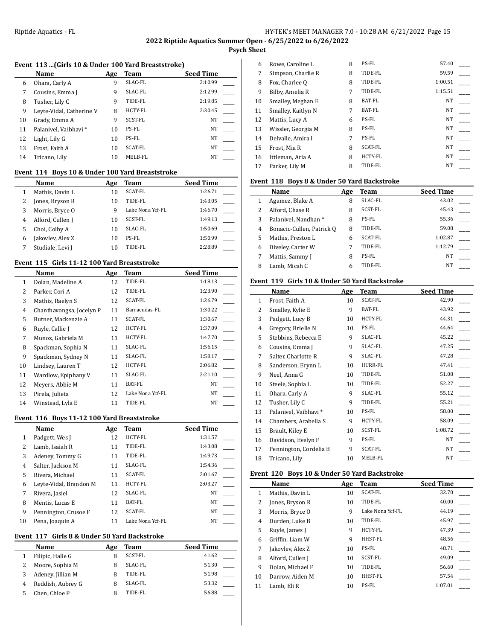# **Psych Sheet**

# **Event 113 ...(Girls 10 & Under 100 Yard Breaststroke)**

|    | Name                     | Age | Team           | <b>Seed Time</b> |
|----|--------------------------|-----|----------------|------------------|
| 6  | Ohara, Carly A           | 9   | SLAC-FL        | 2:10.99          |
| 7  | Cousins, Emma J          | 9   | SLAC-FL        | 2:12.99          |
| 8  | Tusher, Lily C           | 9   | TIDE-FL        | 2:19.85          |
| 9  | Leyte-Vidal, Catherine V | 8   | <b>HCTY-FL</b> | 2:30.45          |
| 10 | Grady, Emma A            | 9   | SCST-FL        | <b>NT</b>        |
| 11 | Palanivel, Vaibhavi*     | 10  | PS-FL          | NT               |
| 12 | Light, Lily G            | 10  | PS-FL          | NT               |
| 13 | Frost, Faith A           | 10  | <b>SCAT-FL</b> | NT               |
| 14 | Tricano, Lily            | 10  | MELB-FL        | NT               |

## **Event 114 Boys 10 & Under 100 Yard Breaststroke**

|   | Name             | Age | Team             | <b>Seed Time</b> |
|---|------------------|-----|------------------|------------------|
|   | Mathis, Davin L  | 10  | <b>SCAT-FL</b>   | 1:26.71          |
|   | Jones, Bryson R  | 10  | TIDE-FL          | 1:43.05          |
| 3 | Morris, Bryce O  | q   | Lake Nona Ycf-FL | 1:46.70          |
| 4 | Alford, Cullen J | 10  | SCST-FL          | 1:49.13          |
| 5 | Choi, Colby A    | 10  | SLAC-FL          | 1:50.69          |
| 6 | Jakovlev, Alex Z | 10  | PS-FL            | 1:50.99          |
|   | Studiale, Levi J | 10  | TIDE-FL          | 2:28.89          |

## **Event 115 Girls 11-12 100 Yard Breaststroke**

|                | Name                     | Age | Team             | <b>Seed Time</b> |
|----------------|--------------------------|-----|------------------|------------------|
| 1              | Dolan, Madeline A        | 12  | TIDE-FL          | 1:18.13          |
| 2              | Parker, Cori A           | 12  | TIDE-FL          | 1:23.90          |
| 3              | Mathis, Raelyn S         | 12  | <b>SCAT-FL</b>   | 1:26.79          |
| $\overline{4}$ | Chanthavongsa, Jocelyn P | 11  | Barracudas-FL    | 1:30.22          |
| 5              | Butner, Mackenzie A      | 11  | <b>SCAT-FL</b>   | 1:30.67          |
| 6              | Ruyle, Callie J          | 12  | <b>HCTY-FL</b>   | 1:37.09          |
| 7              | Munoz, Gabriela M        | 11  | HCTY-FL          | 1:47.70          |
| 8              | Spackman, Sophia N       | 11  | SLAC-FL          | 1:56.15          |
| 9              | Spackman, Sydney N       | 11  | SLAC-FL          | 1:58.17          |
| 10             | Lindsey, Lauren T        | 12  | HCTY-FL          | 2:06.82          |
| 11             | Wardlow, Epiphany V      | 11  | SLAC-FL          | 2:21.10          |
| 12             | Meyers, Abbie M          | 11  | BAT-FL           | NT               |
| 13             | Pirela, Julieta          | 12  | Lake Nona Ycf-FL | NT               |
| 14             | Winstead, Lyla E         | 11  | TIDE-FL          | NT               |

### **Event 116 Boys 11-12 100 Yard Breaststroke**

|    | Name                   | Age | Team             | <b>Seed Time</b> |
|----|------------------------|-----|------------------|------------------|
| 1  | Padgett, Wes J         | 12  | <b>HCTY-FL</b>   | 1:31.57          |
| 2  | Lamb, Isaiah R         | 11  | TIDE-FL          | 1:43.08          |
| 3  | Adeney, Tommy G        | 11  | TIDE-FL          | 1:49.73          |
| 4  | Salter, Jackson M      | 11  | SLAC-FL          | 1:54.36          |
| 5  | Rivera, Michael        | 11  | SCAT-FL          | 2:01.67          |
| 6  | Leyte-Vidal, Brandon M | 11  | <b>HCTY-FL</b>   | 2:03.27          |
| 7  | Rivera, Jasiel         | 12  | SLAC-FL          | NT               |
| 8  | Mentis, Lucas E        | 11  | BAT-FL           | NT               |
| 9  | Pennington, Crusoe F   | 12  | <b>SCAT-FL</b>   | NT               |
| 10 | Pena, Joaquin A        | 11  | Lake Nona Ycf-FL | NT               |

### **Event 117 Girls 8 & Under 50 Yard Backstroke**

| Name              | Age | Team    | <b>Seed Time</b> |
|-------------------|-----|---------|------------------|
| Filipic, Halle G  |     | SCST-FL | 41.62            |
| Moore, Sophia M   | 8   | SLAC-FL | 51.30            |
| Adeney, Jillian M | 8   | TIDE-FL | 51.98            |
| Reddish, Aubrey G | 8   | SLAC-FL | 53.32            |
| Chen, Chloe P     |     | TIDE-FL | 56.88            |
|                   |     |         |                  |

| 6  | Rowe, Caroline L   | 8 | PS-FL          | 57.40     |  |
|----|--------------------|---|----------------|-----------|--|
| 7  | Simpson, Charlie R | 8 | TIDE-FL        | 59.59     |  |
| 8  | Fox, Charlee O     | 8 | TIDE-FL        | 1:00.51   |  |
| 9  | Bilby, Amelia R    | 7 | TIDE-FL        | 1:15.51   |  |
| 10 | Smalley, Meghan E  | 8 | <b>BAT-FL</b>  | NT        |  |
| 11 | Smalley, Kaitlyn N | 7 | <b>BAT-FL</b>  | NT        |  |
| 12 | Mattis, Lucy A     | 6 | PS-FL          | NT        |  |
| 13 | Wissler, Georgia M | 8 | PS-FL          | <b>NT</b> |  |
| 14 | Delvalle, Amira I  | 7 | PS-FL          | NT        |  |
| 15 | Frost, Mia R       | 8 | <b>SCAT-FL</b> | <b>NT</b> |  |
| 16 | Ittleman, Aria A   | 8 | <b>HCTY-FL</b> | NT        |  |
| 17 | Parker, Lily M     | 8 | TIDE-FL        | <b>NT</b> |  |
|    |                    |   |                |           |  |

# **Event 118 Boys 8 & Under 50 Yard Backstroke**

|   | <b>Name</b>               | Age | Team    | <b>Seed Time</b> |
|---|---------------------------|-----|---------|------------------|
|   | Agamez, Blake A           | 8   | SLAC-FL | 43.02            |
| 2 | Alford, Chase R           | 8   | SCST-FL | 45.43            |
| 3 | Palanivel, Nandhan *      | 8   | PS-FL   | 55.36            |
| 4 | Bonacic-Cullen, Patrick Q | 8   | TIDE-FL | 59.08            |
| 5 | Mathis, Preston L         | 6   | SCAT-FL | 1:02.87          |
| 6 | Diveley, Carter W         | 7   | TIDE-FL | 1:12.79          |
| 7 | Mattis, Sammy J           | 8   | PS-FL   | NT               |
| 8 | Lamb, Micah C             | 6   | TIDE-FL | NT               |

#### **Event 119 Girls 10 & Under 50 Yard Backstroke**

|              | Name                   | Age | Team    | <b>Seed Time</b> |
|--------------|------------------------|-----|---------|------------------|
| $\mathbf{1}$ | Frost, Faith A         | 10  | SCAT-FL | 42.90            |
| 2            | Smalley, Kylie E       | 9   | BAT-FL  | 43.92            |
| 3            | Padgett, Lucy B        | 10  | HCTY-FL | 44.31            |
| 4            | Gregory, Brielle N     | 10  | PS-FL   | 44.64            |
| 5            | Stebbins, Rebecca E    | 9   | SLAC-FL | 45.22            |
| 6            | Cousins, Emma J        | 9   | SLAC-FL | 47.25            |
| 7            | Salter, Charlotte R    | 9   | SLAC-FL | 47.28            |
| 8            | Sanderson, Erynn L     | 10  | HURR-FL | 47.41            |
| 9            | Neel, Anna G           | 10  | TIDE-FL | 51.08            |
| 10           | Steele, Sophia L       | 10  | TIDE-FL | 52.27            |
| 11           | Ohara, Carly A         | 9   | SLAC-FL | 55.12            |
| 12           | Tusher, Lily C         | 9   | TIDE-FL | 55.21            |
| 13           | Palanivel, Vaibhavi *  | 10  | PS-FL   | 58.00            |
| 14           | Chambers, Arabella S   | 9   | HCTY-FL | 58.09            |
| 15           | Brault, Kiley E        | 10  | SCST-FL | 1:08.72          |
| 16           | Davidson, Evelyn F     | 9   | PS-FL   | NT               |
| 17           | Pennington, Cordelia B | 9   | SCAT-FL | NT               |
| 18           | Tricano, Lily          | 10  | MELB-FL | NT               |

#### **Event 120 Boys 10 & Under 50 Yard Backstroke**

|    | <b>Name</b>      | Age | Team             | <b>Seed Time</b> |
|----|------------------|-----|------------------|------------------|
| 1  | Mathis, Davin L  | 10  | <b>SCAT-FL</b>   | 32.70            |
| 2  | Jones, Bryson R  | 10  | TIDE-FL          | 40.00            |
| 3  | Morris, Bryce O  | 9   | Lake Nona Ycf-FL | 44.19            |
| 4  | Durden, Luke B   | 10  | TIDE-FL          | 45.97            |
| 5  | Ruyle, James J   | 9   | <b>HCTY-FL</b>   | 47.39            |
| 6  | Griffin, Liam W  | 9   | HHST-FL          | 48.56            |
| 7  | Jakovlev, Alex Z | 10  | PS-FL            | 48.71            |
| 8  | Alford, Cullen J | 10  | SCST-FL          | 49.09            |
| 9  | Dolan. Michael F | 10  | TIDE-FL          | 56.60            |
| 10 | Darrow, Aiden M  | 10  | HHST-FL          | 57.54            |
| 11 | Lamb, Eli R      | 10  | PS-FL            | 1:07.01          |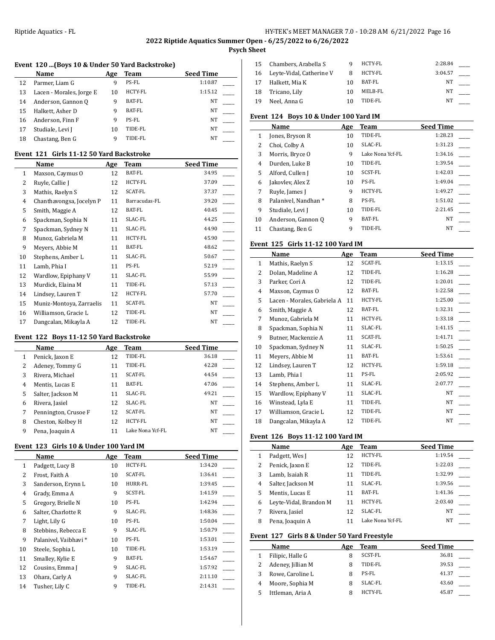$\overline{a}$ 

## Riptide Aquatics - FL **HY-TEK's MEET MANAGER 7.0 - 10:28 AM 6/21/2022** Page 16

# **2022 Riptide Aquatics Summer Open - 6/25/2022 to 6/26/2022**

**Psych Sheet**

# **Event 120 ...(Boys 10 & Under 50 Yard Backstroke)**

|    | Name                     | Age | Team    | <b>Seed Time</b> |
|----|--------------------------|-----|---------|------------------|
| 12 | Parmer, Liam G           | 9   | PS-FL   | 1:10.87          |
| 13 | Lacen - Morales, Jorge E | 10  | HCTY-FL | 1:15.12          |
| 14 | Anderson, Gannon Q       | q   | BAT-FL  | NT               |
| 15 | Halkett, Asher D         | 9   | BAT-FL  | NT               |
| 16 | Anderson, Finn F         | q   | PS-FL   | NT               |
| 17 | Studiale, Levi J         | 10  | TIDE-FL | NΤ               |
| 18 | Chastang, Ben G          | q   | TIDE-FL | NΤ               |

#### **Event 121 Girls 11-12 50 Yard Backstroke**

|              | Name                     | Age | Team          | <b>Seed Time</b> |
|--------------|--------------------------|-----|---------------|------------------|
| $\mathbf{1}$ | Maxson, Caymus O         | 12  | BAT-FL        | 34.95            |
| 2            | Ruyle, Callie J          | 12  | HCTY-FL       | 37.09            |
| 3            | Mathis, Raelyn S         | 12  | SCAT-FL       | 37.37            |
| 4            | Chanthavongsa, Jocelyn P | 11  | Barracudas-FL | 39.20            |
| 5            | Smith, Maggie A          | 12  | BAT-FL        | 40.45            |
| 6            | Spackman, Sophia N       | 11  | SLAC-FL       | 44.25            |
| 7            | Spackman, Sydney N       | 11  | SLAC-FL       | 44.90            |
| 8            | Munoz, Gabriela M        | 11  | HCTY-FL       | 45.90            |
| 9            | Meyers, Abbie M          | 11  | BAT-FL        | 48.62            |
| 10           | Stephens, Amber L        | 11  | SLAC-FL       | 50.67            |
| 11           | Lamb, Phia I             | 11  | PS-FL         | 52.19            |
| 12           | Wardlow, Epiphany V      | 11  | SLAC-FL       | 55.99            |
| 13           | Murdick, Elaina M        | 11  | TIDE-FL       | 57.13            |
| 14           | Lindsey, Lauren T        | 12  | HCTY-FL       | 57.70            |
| 15           | Muniz-Montoya, Zarraelis | 11  | SCAT-FL       | NT               |
| 16           | Williamson, Gracie L     | 12  | TIDE-FL       | NT               |
| 17           | Dangcalan, Mikayla A     | 12  | TIDE-FL       | NT               |

## **Event 122 Boys 11-12 50 Yard Backstroke**

|   | Name                 | Age | Team             | <b>Seed Time</b> |
|---|----------------------|-----|------------------|------------------|
| 1 | Penick, Jaxon E      | 12  | TIDE-FL          | 36.18            |
| 2 | Adeney, Tommy G      | 11  | TIDE-FL          | 42.28            |
| 3 | Rivera, Michael      | 11  | <b>SCAT-FL</b>   | 44.54            |
| 4 | Mentis, Lucas E      | 11  | BAT-FL           | 47.06            |
| 5 | Salter, Jackson M    | 11  | SLAC-FL          | 49.21            |
| 6 | Rivera, Jasiel       | 12  | SLAC-FL          | NT               |
| 7 | Pennington, Crusoe F | 12  | <b>SCAT-FL</b>   | NT               |
| 8 | Cheston, Kolbey H    | 12  | <b>HCTY-FL</b>   | NT               |
| 9 | Pena, Joaquin A      | 11  | Lake Nona Ycf-FL | NT               |

#### **Event 123 Girls 10 & Under 100 Yard IM**

|              | Name                 | Age | Team    | <b>Seed Time</b> |
|--------------|----------------------|-----|---------|------------------|
| $\mathbf{1}$ | Padgett, Lucy B      | 10  | HCTY-FL | 1:34.20          |
| 2            | Frost, Faith A       | 10  | SCAT-FL | 1:36.41          |
| 3            | Sanderson, Erynn L   | 10  | HURR-FL | 1:39.45          |
| 4            | Grady, Emma A        | 9   | SCST-FL | 1:41.59          |
| 5            | Gregory, Brielle N   | 10  | PS-FL   | 1:42.94          |
| 6            | Salter, Charlotte R  | 9   | SLAC-FL | 1:48.36          |
| 7            | Light, Lily G        | 10  | PS-FL   | 1:50.04          |
| 8            | Stebbins, Rebecca E  | 9   | SLAC-FL | 1:50.79          |
| 9            | Palanivel, Vaibhavi* | 10  | PS-FL   | 1:53.01          |
| 10           | Steele, Sophia L     | 10  | TIDE-FL | 1:53.19          |
| 11           | Smalley, Kylie E     | 9   | BAT-FL  | 1:54.67          |
| 12           | Cousins, Emma J      | 9   | SLAC-FL | 1:57.92          |
| 13           | Ohara, Carly A       | 9   | SLAC-FL | 2:11.10          |
| 14           | Tusher, Lily C       | 9   | TIDE-FL | 2:14.31          |

| 15  | Chambers, Arabella S     | q  | HCTY-FL | 2:28.84 |  |
|-----|--------------------------|----|---------|---------|--|
| 16  | Leyte-Vidal, Catherine V | 8  | HCTY-FL | 3:04.57 |  |
| 17  | Halkett, Mia K           | 10 | BAT-FL  | NΤ      |  |
| 18  | Tricano, Lily            | 10 | MELB-FL | NT      |  |
| -19 | Neel, Anna G             | 10 | TIDE-FL | NT      |  |

## **Event 124 Boys 10 & Under 100 Yard IM**

|    | Name                 | Age | Team             | <b>Seed Time</b> |
|----|----------------------|-----|------------------|------------------|
| 1  | Jones, Bryson R      | 10  | TIDE-FL          | 1:28.23          |
| 2  | Choi, Colby A        | 10  | SLAC-FL          | 1:31.23          |
| 3  | Morris, Bryce O      | 9   | Lake Nona Ycf-FL | 1:34.16          |
| 4  | Durden, Luke B       | 10  | TIDE-FL          | 1:39.54          |
| 5  | Alford, Cullen J     | 10  | <b>SCST-FL</b>   | 1:42.03          |
| 6  | Jakovlev, Alex Z     | 10  | PS-FL            | 1:49.04          |
| 7  | Ruyle, James J       | 9   | <b>HCTY-FL</b>   | 1:49.27          |
| 8  | Palanivel, Nandhan * | 8   | PS-FL            | 1:51.02          |
| 9  | Studiale, Levi J     | 10  | TIDE-FL          | 2:21.45          |
| 10 | Anderson, Gannon Q   | 9   | BAT-FL           | <b>NT</b>        |
| 11 | Chastang, Ben G      | 9   | TIDE-FL          | <b>NT</b>        |

### **Event 125 Girls 11-12 100 Yard IM**

|              | Name                        | Age | Team    | <b>Seed Time</b> |
|--------------|-----------------------------|-----|---------|------------------|
| $\mathbf{1}$ | Mathis, Raelyn S            | 12  | SCAT-FL | 1:13.15          |
| 2            | Dolan, Madeline A           | 12  | TIDE-FL | 1:16.28          |
| 3            | Parker, Cori A              | 12  | TIDE-FL | 1:20.01          |
| 4            | Maxson, Caymus O            | 12  | BAT-FL  | 1:22.58          |
| 5            | Lacen - Morales, Gabriela A | 11  | HCTY-FL | 1:25.00          |
| 6            | Smith, Maggie A             | 12  | BAT-FL  | 1:32.31          |
| 7            | Munoz, Gabriela M           | 11  | HCTY-FL | 1:33.18          |
| 8            | Spackman, Sophia N          | 11  | SLAC-FL | 1:41.15          |
| 9            | Butner, Mackenzie A         | 11  | SCAT-FL | 1:41.71          |
| 10           | Spackman, Sydney N          | 11  | SLAC-FL | 1:50.25          |
| 11           | Meyers, Abbie M             | 11  | BAT-FL  | 1:53.61          |
| 12           | Lindsey, Lauren T           | 12  | HCTY-FL | 1:59.18          |
| 13           | Lamb, Phia I                | 11  | PS-FL   | 2:05.92          |
| 14           | Stephens, Amber L           | 11  | SLAC-FL | 2:07.77          |
| 15           | Wardlow, Epiphany V         | 11  | SLAC-FL | NT               |
| 16           | Winstead, Lyla E            | 11  | TIDE-FL | NT               |
| 17           | Williamson, Gracie L        | 12  | TIDE-FL | NT               |
| 18           | Dangcalan, Mikayla A        | 12  | TIDE-FL | NT               |

### **Event 126 Boys 11-12 100 Yard IM**

|   | Name                   | Age | Team             | <b>Seed Time</b> |
|---|------------------------|-----|------------------|------------------|
|   | Padgett, Wes J         | 12  | <b>HCTY-FL</b>   | 1:19.54          |
|   | Penick, Jaxon E        | 12  | TIDE-FL          | 1:22.03          |
|   | Lamb, Isaiah R         | 11  | TIDE-FL          | 1:32.99          |
| 4 | Salter, Jackson M      | 11  | SLAC-FL          | 1:39.56          |
| 5 | Mentis, Lucas E        | 11  | BAT-FL           | 1:41.36          |
| 6 | Leyte-Vidal, Brandon M | 11  | HCTY-FL          | 2:03.40          |
|   | Rivera, Jasiel         | 12  | SLAC-FL          | NT               |
| 8 | Pena, Joaquin A        |     | Lake Nona Ycf-FL | NT               |

## **Event 127 Girls 8 & Under 50 Yard Freestyle**

|   | <b>Name</b>       | Age | Team           | <b>Seed Time</b> |
|---|-------------------|-----|----------------|------------------|
|   | Filipic, Halle G  | 8   | SCST-FL        | 36.81            |
|   | Adeney, Jillian M | 8   | TIDE-FL        | 39.53            |
|   | Rowe, Caroline L  | 8   | PS-FL          | 41.37            |
| 4 | Moore, Sophia M   | 8   | SLAC-FL        | 43.60            |
|   | Ittleman, Aria A  | Я   | <b>HCTY-FL</b> | 45.87            |